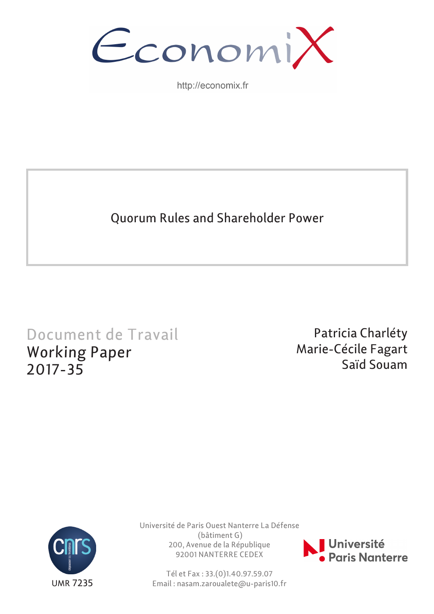

http://economix.fr

Quorum Rules and Shareholder Power

# Document de Travail Working Paper 2017-35

Patricia Charléty Marie-Cécile Fagart Saïd Souam



Université de Paris Ouest Nanterre La Défense (bâtiment G) 200, Avenue de la République 92001 NANTERRE CEDEX

Tél et Fax : 33.(0)1.40.97.59.07 Email : nasam.zaroualete@u-paris10.fr

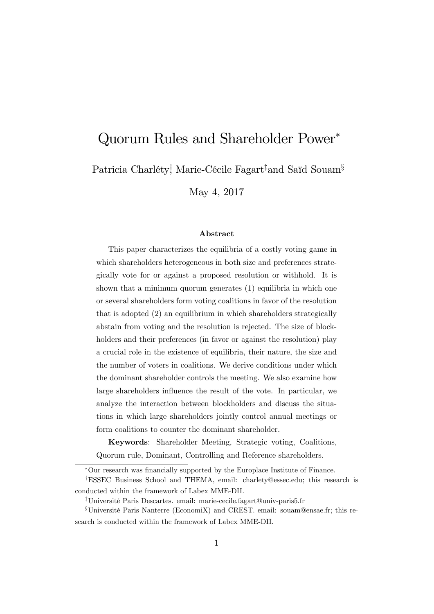# Quorum Rules and Shareholder Power

Patricia Charléty<sup>†</sup>, Marie-Cécile Fagart‡and Saïd Souam<sup>§</sup>

May 4, 2017

#### Abstract

This paper characterizes the equilibria of a costly voting game in which shareholders heterogeneous in both size and preferences strategically vote for or against a proposed resolution or withhold. It is shown that a minimum quorum generates (1) equilibria in which one or several shareholders form voting coalitions in favor of the resolution that is adopted (2) an equilibrium in which shareholders strategically abstain from voting and the resolution is rejected. The size of blockholders and their preferences (in favor or against the resolution) play a crucial role in the existence of equilibria, their nature, the size and the number of voters in coalitions. We derive conditions under which the dominant shareholder controls the meeting. We also examine how large shareholders influence the result of the vote. In particular, we analyze the interaction between blockholders and discuss the situations in which large shareholders jointly control annual meetings or form coalitions to counter the dominant shareholder.

Keywords: Shareholder Meeting, Strategic voting, Coalitions, Quorum rule, Dominant, Controlling and Reference shareholders.

Our research was Önancially supported by the Europlace Institute of Finance.

<sup>&</sup>lt;sup>†</sup>ESSEC Business School and THEMA, email: charlety@essec.edu; this research is conducted within the framework of Labex MME-DII.

<sup>&</sup>lt;sup>‡</sup>Université Paris Descartes. email: marie-cecile.fagart@univ-paris5.fr

 ${}^{\S}$ Université Paris Nanterre (EconomiX) and CREST. email: souam@ensae.fr; this research is conducted within the framework of Labex MME-DII.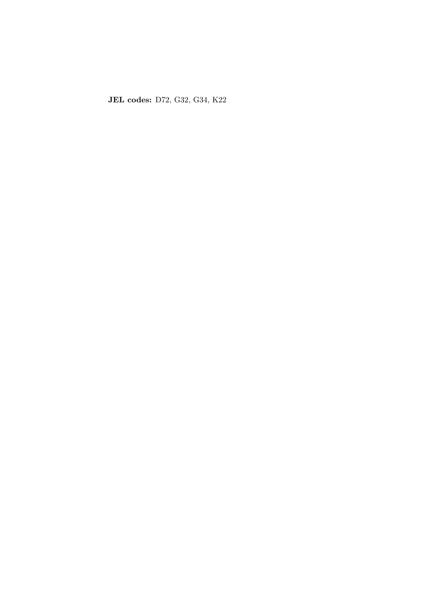JEL codes: D72, G32, G34, K22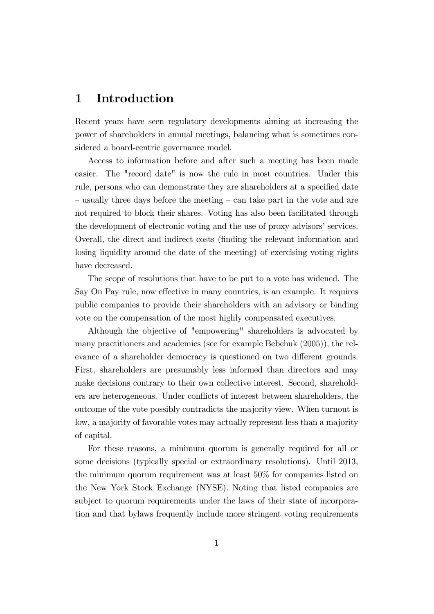# 1 Introduction

Recent years have seen regulatory developments aiming at increasing the power of shareholders in annual meetings, balancing what is sometimes considered a board-centric governance model.

Access to information before and after such a meeting has been made easier. The "record date" is now the rule in most countries. Under this rule, persons who can demonstrate they are shareholders at a specified date  $\sim$  usually three days before the meeting  $\sim$  can take part in the vote and are not required to block their shares. Voting has also been facilitated through the development of electronic voting and the use of proxy advisors' services. Overall, the direct and indirect costs (Önding the relevant information and losing liquidity around the date of the meeting) of exercising voting rights have decreased.

The scope of resolutions that have to be put to a vote has widened. The Say On Pay rule, now effective in many countries, is an example. It requires public companies to provide their shareholders with an advisory or binding vote on the compensation of the most highly compensated executives.

Although the objective of "empowering" shareholders is advocated by many practitioners and academics (see for example Bebchuk (2005)), the relevance of a shareholder democracy is questioned on two different grounds. First, shareholders are presumably less informed than directors and may make decisions contrary to their own collective interest. Second, shareholders are heterogeneous. Under conflicts of interest between shareholders, the outcome of the vote possibly contradicts the majority view. When turnout is low, a majority of favorable votes may actually represent less than a majority of capital.

For these reasons, a minimum quorum is generally required for all or some decisions (typically special or extraordinary resolutions). Until 2013, the minimum quorum requirement was at least 50% for companies listed on the New York Stock Exchange (NYSE). Noting that listed companies are subject to quorum requirements under the laws of their state of incorporation and that bylaws frequently include more stringent voting requirements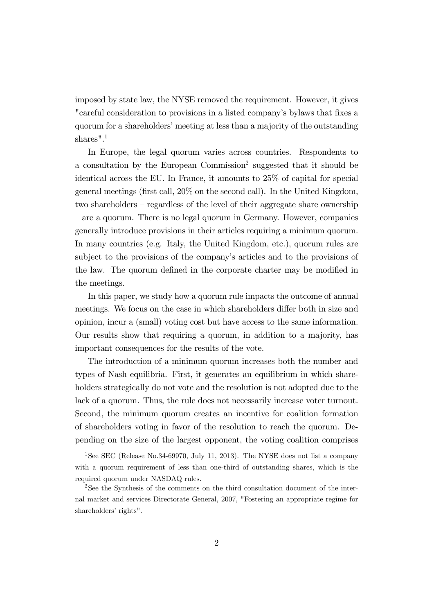imposed by state law, the NYSE removed the requirement. However, it gives "careful consideration to provisions in a listed company's bylaws that fixes a quorum for a shareholders' meeting at less than a majority of the outstanding shares".<sup>1</sup>

In Europe, the legal quorum varies across countries. Respondents to a consultation by the European Commission<sup>2</sup> suggested that it should be identical across the EU. In France, it amounts to 25% of capital for special general meetings (Örst call, 20% on the second call). In the United Kingdom, two shareholders  $-$  regardless of the level of their aggregate share ownership – are a quorum. There is no legal quorum in Germany. However, companies generally introduce provisions in their articles requiring a minimum quorum. In many countries (e.g. Italy, the United Kingdom, etc.), quorum rules are subject to the provisions of the company's articles and to the provisions of the law. The quorum defined in the corporate charter may be modified in the meetings.

In this paper, we study how a quorum rule impacts the outcome of annual meetings. We focus on the case in which shareholders differ both in size and opinion, incur a (small) voting cost but have access to the same information. Our results show that requiring a quorum, in addition to a majority, has important consequences for the results of the vote.

The introduction of a minimum quorum increases both the number and types of Nash equilibria. First, it generates an equilibrium in which shareholders strategically do not vote and the resolution is not adopted due to the lack of a quorum. Thus, the rule does not necessarily increase voter turnout. Second, the minimum quorum creates an incentive for coalition formation of shareholders voting in favor of the resolution to reach the quorum. Depending on the size of the largest opponent, the voting coalition comprises

<sup>&</sup>lt;sup>1</sup>See SEC (Release No.34-69970, July 11, 2013). The NYSE does not list a company with a quorum requirement of less than one-third of outstanding shares, which is the required quorum under NASDAQ rules.

<sup>2</sup>See the Synthesis of the comments on the third consultation document of the internal market and services Directorate General, 2007, "Fostering an appropriate regime for shareholders' rights".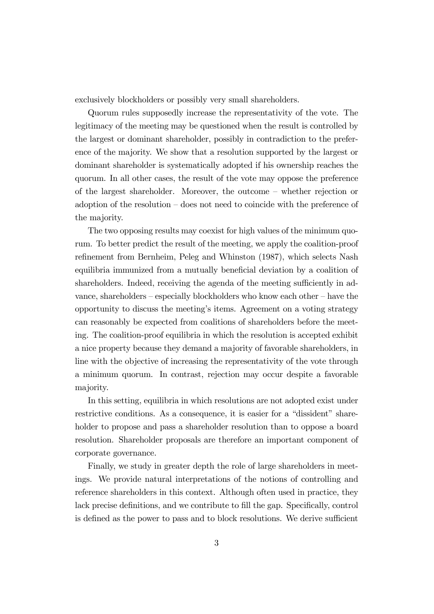exclusively blockholders or possibly very small shareholders.

Quorum rules supposedly increase the representativity of the vote. The legitimacy of the meeting may be questioned when the result is controlled by the largest or dominant shareholder, possibly in contradiction to the preference of the majority. We show that a resolution supported by the largest or dominant shareholder is systematically adopted if his ownership reaches the quorum. In all other cases, the result of the vote may oppose the preference of the largest shareholder. Moreover, the outcome  $-\omega$  whether rejection or adoption of the resolution  $-\text{does not need to coincide with the preference of}$ the majority.

The two opposing results may coexist for high values of the minimum quorum. To better predict the result of the meeting, we apply the coalition-proof refinement from Bernheim, Peleg and Whinston (1987), which selects Nash equilibria immunized from a mutually beneficial deviation by a coalition of shareholders. Indeed, receiving the agenda of the meeting sufficiently in advance, shareholders  $-$  especially blockholders who know each other  $-$  have the opportunity to discuss the meetingís items. Agreement on a voting strategy can reasonably be expected from coalitions of shareholders before the meeting. The coalition-proof equilibria in which the resolution is accepted exhibit a nice property because they demand a majority of favorable shareholders, in line with the objective of increasing the representativity of the vote through a minimum quorum. In contrast, rejection may occur despite a favorable majority.

In this setting, equilibria in which resolutions are not adopted exist under restrictive conditions. As a consequence, it is easier for a "dissident" shareholder to propose and pass a shareholder resolution than to oppose a board resolution. Shareholder proposals are therefore an important component of corporate governance.

Finally, we study in greater depth the role of large shareholders in meetings. We provide natural interpretations of the notions of controlling and reference shareholders in this context. Although often used in practice, they lack precise definitions, and we contribute to fill the gap. Specifically, control is defined as the power to pass and to block resolutions. We derive sufficient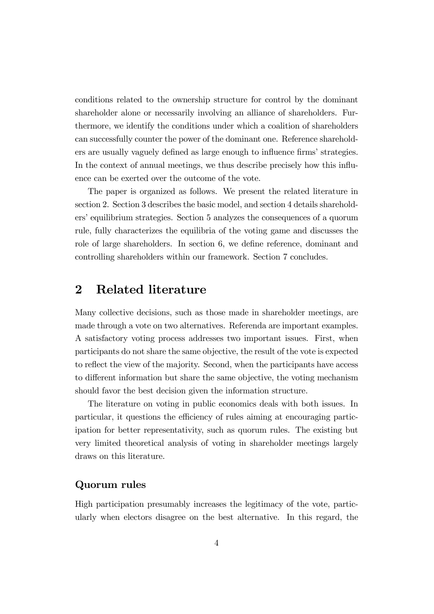conditions related to the ownership structure for control by the dominant shareholder alone or necessarily involving an alliance of shareholders. Furthermore, we identify the conditions under which a coalition of shareholders can successfully counter the power of the dominant one. Reference shareholders are usually vaguely defined as large enough to influence firms' strategies. In the context of annual meetings, we thus describe precisely how this influence can be exerted over the outcome of the vote.

The paper is organized as follows. We present the related literature in section 2. Section 3 describes the basic model, and section 4 details shareholders' equilibrium strategies. Section 5 analyzes the consequences of a quorum rule, fully characterizes the equilibria of the voting game and discusses the role of large shareholders. In section 6, we define reference, dominant and controlling shareholders within our framework. Section 7 concludes.

# 2 Related literature

Many collective decisions, such as those made in shareholder meetings, are made through a vote on two alternatives. Referenda are important examples. A satisfactory voting process addresses two important issues. First, when participants do not share the same objective, the result of the vote is expected to reflect the view of the majority. Second, when the participants have access to different information but share the same objective, the voting mechanism should favor the best decision given the information structure.

The literature on voting in public economics deals with both issues. In particular, it questions the efficiency of rules aiming at encouraging participation for better representativity, such as quorum rules. The existing but very limited theoretical analysis of voting in shareholder meetings largely draws on this literature.

### Quorum rules

High participation presumably increases the legitimacy of the vote, particularly when electors disagree on the best alternative. In this regard, the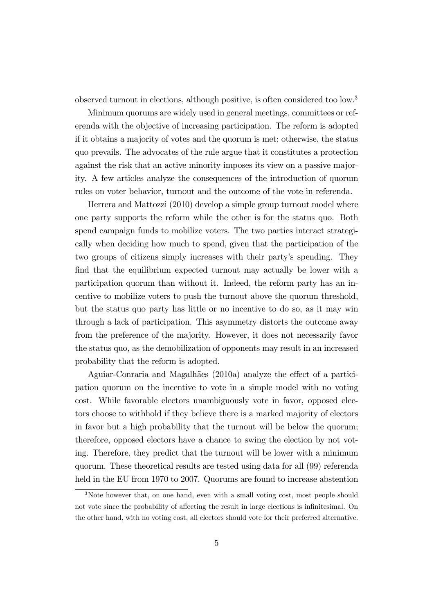observed turnout in elections, although positive, is often considered too low.<sup>3</sup>

Minimum quorums are widely used in general meetings, committees or referenda with the objective of increasing participation. The reform is adopted if it obtains a majority of votes and the quorum is met; otherwise, the status quo prevails. The advocates of the rule argue that it constitutes a protection against the risk that an active minority imposes its view on a passive majority. A few articles analyze the consequences of the introduction of quorum rules on voter behavior, turnout and the outcome of the vote in referenda.

Herrera and Mattozzi (2010) develop a simple group turnout model where one party supports the reform while the other is for the status quo. Both spend campaign funds to mobilize voters. The two parties interact strategically when deciding how much to spend, given that the participation of the two groups of citizens simply increases with their party's spending. They find that the equilibrium expected turnout may actually be lower with a participation quorum than without it. Indeed, the reform party has an incentive to mobilize voters to push the turnout above the quorum threshold, but the status quo party has little or no incentive to do so, as it may win through a lack of participation. This asymmetry distorts the outcome away from the preference of the majority. However, it does not necessarily favor the status quo, as the demobilization of opponents may result in an increased probability that the reform is adopted.

Aguiar-Conraria and Magalhães (2010a) analyze the effect of a participation quorum on the incentive to vote in a simple model with no voting cost. While favorable electors unambiguously vote in favor, opposed electors choose to withhold if they believe there is a marked majority of electors in favor but a high probability that the turnout will be below the quorum; therefore, opposed electors have a chance to swing the election by not voting. Therefore, they predict that the turnout will be lower with a minimum quorum. These theoretical results are tested using data for all (99) referenda held in the EU from 1970 to 2007. Quorums are found to increase abstention

<sup>&</sup>lt;sup>3</sup>Note however that, on one hand, even with a small voting cost, most people should not vote since the probability of affecting the result in large elections is infinitesimal. On the other hand, with no voting cost, all electors should vote for their preferred alternative.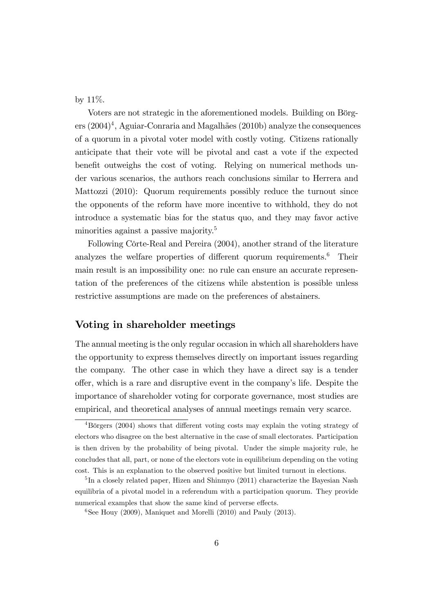by 11%.

Voters are not strategic in the aforementioned models. Building on Börgers (2004)<sup>4</sup>, Aguiar-Conraria and Magalhães (2010b) analyze the consequences of a quorum in a pivotal voter model with costly voting. Citizens rationally anticipate that their vote will be pivotal and cast a vote if the expected benefit outweighs the cost of voting. Relying on numerical methods under various scenarios, the authors reach conclusions similar to Herrera and Mattozzi (2010): Quorum requirements possibly reduce the turnout since the opponents of the reform have more incentive to withhold, they do not introduce a systematic bias for the status quo, and they may favor active minorities against a passive majority.<sup>5</sup>

Following Côrte-Real and Pereira (2004), another strand of the literature analyzes the welfare properties of different quorum requirements.<sup>6</sup> Their main result is an impossibility one: no rule can ensure an accurate representation of the preferences of the citizens while abstention is possible unless restrictive assumptions are made on the preferences of abstainers.

### Voting in shareholder meetings

The annual meeting is the only regular occasion in which all shareholders have the opportunity to express themselves directly on important issues regarding the company. The other case in which they have a direct say is a tender o§er, which is a rare and disruptive event in the companyís life. Despite the importance of shareholder voting for corporate governance, most studies are empirical, and theoretical analyses of annual meetings remain very scarce.

 $4B\ddot{\text{or}}$ gers (2004) shows that different voting costs may explain the voting strategy of electors who disagree on the best alternative in the case of small electorates. Participation is then driven by the probability of being pivotal. Under the simple majority rule, he concludes that all, part, or none of the electors vote in equilibrium depending on the voting cost. This is an explanation to the observed positive but limited turnout in elections.

<sup>&</sup>lt;sup>5</sup>In a closely related paper, Hizen and Shinmyo (2011) characterize the Bayesian Nash equilibria of a pivotal model in a referendum with a participation quorum. They provide numerical examples that show the same kind of perverse effects.

<sup>&</sup>lt;sup>6</sup>See Houy (2009), Maniquet and Morelli (2010) and Pauly (2013).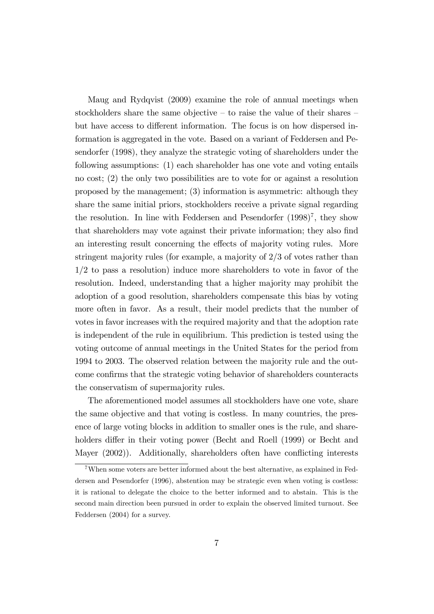Maug and Rydqvist (2009) examine the role of annual meetings when stockholders share the same objective  $-$  to raise the value of their shares  $$ but have access to different information. The focus is on how dispersed information is aggregated in the vote. Based on a variant of Feddersen and Pesendorfer (1998), they analyze the strategic voting of shareholders under the following assumptions: (1) each shareholder has one vote and voting entails no cost; (2) the only two possibilities are to vote for or against a resolution proposed by the management; (3) information is asymmetric: although they share the same initial priors, stockholders receive a private signal regarding the resolution. In line with Feddersen and Pesendorfer  $(1998)^7$ , they show that shareholders may vote against their private information; they also Önd an interesting result concerning the effects of majority voting rules. More stringent majority rules (for example, a majority of 2/3 of votes rather than 1/2 to pass a resolution) induce more shareholders to vote in favor of the resolution. Indeed, understanding that a higher majority may prohibit the adoption of a good resolution, shareholders compensate this bias by voting more often in favor. As a result, their model predicts that the number of votes in favor increases with the required majority and that the adoption rate is independent of the rule in equilibrium. This prediction is tested using the voting outcome of annual meetings in the United States for the period from 1994 to 2003. The observed relation between the majority rule and the outcome confirms that the strategic voting behavior of shareholders counteracts the conservatism of supermajority rules.

The aforementioned model assumes all stockholders have one vote, share the same objective and that voting is costless. In many countries, the presence of large voting blocks in addition to smaller ones is the rule, and shareholders differ in their voting power (Becht and Roell (1999) or Becht and Mayer  $(2002)$ . Additionally, shareholders often have conflicting interests

<sup>7</sup>When some voters are better informed about the best alternative, as explained in Feddersen and Pesendorfer (1996), abstention may be strategic even when voting is costless: it is rational to delegate the choice to the better informed and to abstain. This is the second main direction been pursued in order to explain the observed limited turnout. See Feddersen (2004) for a survey.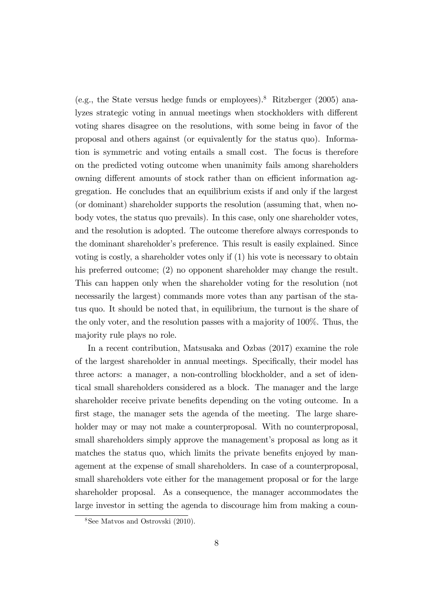(e.g., the State versus hedge funds or employees).<sup>8</sup> Ritzberger (2005) analyzes strategic voting in annual meetings when stockholders with different voting shares disagree on the resolutions, with some being in favor of the proposal and others against (or equivalently for the status quo). Information is symmetric and voting entails a small cost. The focus is therefore on the predicted voting outcome when unanimity fails among shareholders owning different amounts of stock rather than on efficient information aggregation. He concludes that an equilibrium exists if and only if the largest (or dominant) shareholder supports the resolution (assuming that, when nobody votes, the status quo prevails). In this case, only one shareholder votes, and the resolution is adopted. The outcome therefore always corresponds to the dominant shareholder's preference. This result is easily explained. Since voting is costly, a shareholder votes only if (1) his vote is necessary to obtain his preferred outcome; (2) no opponent shareholder may change the result. This can happen only when the shareholder voting for the resolution (not necessarily the largest) commands more votes than any partisan of the status quo. It should be noted that, in equilibrium, the turnout is the share of the only voter, and the resolution passes with a majority of 100%. Thus, the majority rule plays no role.

In a recent contribution, Matsusaka and Ozbas (2017) examine the role of the largest shareholder in annual meetings. Specifically, their model has three actors: a manager, a non-controlling blockholder, and a set of identical small shareholders considered as a block. The manager and the large shareholder receive private benefits depending on the voting outcome. In a first stage, the manager sets the agenda of the meeting. The large shareholder may or may not make a counterproposal. With no counterproposal, small shareholders simply approve the management's proposal as long as it matches the status quo, which limits the private benefits enjoyed by management at the expense of small shareholders. In case of a counterproposal, small shareholders vote either for the management proposal or for the large shareholder proposal. As a consequence, the manager accommodates the large investor in setting the agenda to discourage him from making a coun-

<sup>8</sup>See Matvos and Ostrovski (2010).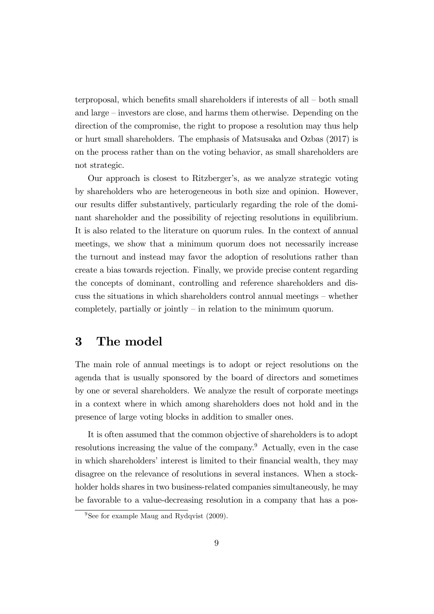terproposal, which benefits small shareholders if interests of all  $-$  both small and large  $-$  investors are close, and harms them otherwise. Depending on the direction of the compromise, the right to propose a resolution may thus help or hurt small shareholders. The emphasis of Matsusaka and Ozbas (2017) is on the process rather than on the voting behavior, as small shareholders are not strategic.

Our approach is closest to Ritzberger's, as we analyze strategic voting by shareholders who are heterogeneous in both size and opinion. However, our results differ substantively, particularly regarding the role of the dominant shareholder and the possibility of rejecting resolutions in equilibrium. It is also related to the literature on quorum rules. In the context of annual meetings, we show that a minimum quorum does not necessarily increase the turnout and instead may favor the adoption of resolutions rather than create a bias towards rejection. Finally, we provide precise content regarding the concepts of dominant, controlling and reference shareholders and discuss the situations in which shareholders control annual meetings  $-$  whether completely, partially or jointly  $\overline{\phantom{a}}$  in relation to the minimum quorum.

# 3 The model

The main role of annual meetings is to adopt or reject resolutions on the agenda that is usually sponsored by the board of directors and sometimes by one or several shareholders. We analyze the result of corporate meetings in a context where in which among shareholders does not hold and in the presence of large voting blocks in addition to smaller ones.

It is often assumed that the common objective of shareholders is to adopt resolutions increasing the value of the company.<sup>9</sup> Actually, even in the case in which shareholders' interest is limited to their financial wealth, they may disagree on the relevance of resolutions in several instances. When a stockholder holds shares in two business-related companies simultaneously, he may be favorable to a value-decreasing resolution in a company that has a pos-

<sup>&</sup>lt;sup>9</sup>See for example Maug and Rydqvist  $(2009)$ .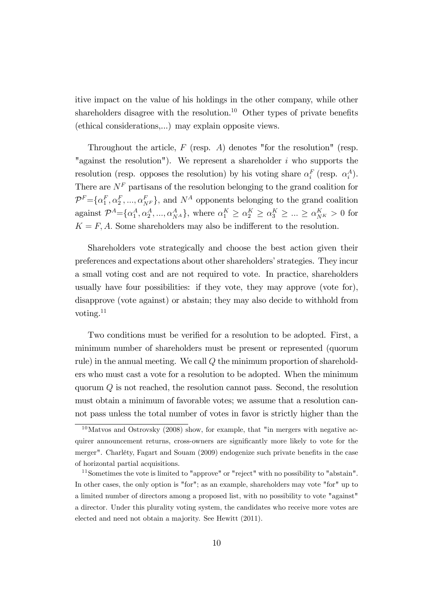itive impact on the value of his holdings in the other company, while other shareholders disagree with the resolution.<sup>10</sup> Other types of private benefits (ethical considerations,...) may explain opposite views.

Throughout the article,  $F$  (resp. A) denotes "for the resolution" (resp. "against the resolution"). We represent a shareholder  $i$  who supports the resolution (resp. opposes the resolution) by his voting share  $\alpha_i^F$  (resp.  $\alpha_i^A$ ). There are  $N^F$  partisans of the resolution belonging to the grand coalition for  $\mathcal{P}^F = \{\alpha_1^F, \alpha_2^F, ..., \alpha_{N^F}^F\}$ , and  $N^A$  opponents belonging to the grand coalition against  $\mathcal{P}^A = \{\alpha_1^A, \alpha_2^A, ..., \alpha_{N^A}^A\}$ , where  $\alpha_1^K \geq \alpha_2^K \geq \alpha_3^K \geq ... \geq \alpha_{N^K}^K > 0$  for  $K = F, A$ . Some shareholders may also be indifferent to the resolution.

Shareholders vote strategically and choose the best action given their preferences and expectations about other shareholders' strategies. They incur a small voting cost and are not required to vote. In practice, shareholders usually have four possibilities: if they vote, they may approve (vote for), disapprove (vote against) or abstain; they may also decide to withhold from voting. $^{11}$ 

Two conditions must be verified for a resolution to be adopted. First, a minimum number of shareholders must be present or represented (quorum rule) in the annual meeting. We call  $Q$  the minimum proportion of shareholders who must cast a vote for a resolution to be adopted. When the minimum quorum Q is not reached, the resolution cannot pass. Second, the resolution must obtain a minimum of favorable votes; we assume that a resolution cannot pass unless the total number of votes in favor is strictly higher than the

 $10$ Matvos and Ostrovsky (2008) show, for example, that "in mergers with negative acquirer announcement returns, cross-owners are significantly more likely to vote for the merger". Charléty, Fagart and Souam (2009) endogenize such private benefits in the case of horizontal partial acquisitions.

<sup>11</sup>Sometimes the vote is limited to "approve" or "reject" with no possibility to "abstain". In other cases, the only option is "for"; as an example, shareholders may vote "for" up to a limited number of directors among a proposed list, with no possibility to vote "against" a director. Under this plurality voting system, the candidates who receive more votes are elected and need not obtain a majority. See Hewitt (2011).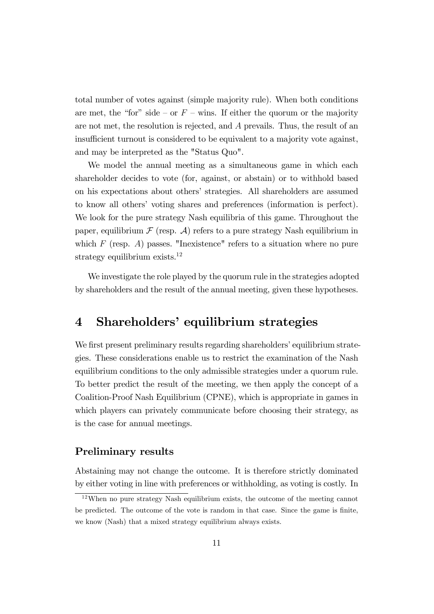total number of votes against (simple majority rule). When both conditions are met, the "for" side – or  $F$  – wins. If either the quorum or the majority are not met, the resolution is rejected, and A prevails. Thus, the result of an insufficient turnout is considered to be equivalent to a majority vote against, and may be interpreted as the "Status Quo".

We model the annual meeting as a simultaneous game in which each shareholder decides to vote (for, against, or abstain) or to withhold based on his expectations about othersí strategies. All shareholders are assumed to know all othersí voting shares and preferences (information is perfect). We look for the pure strategy Nash equilibria of this game. Throughout the paper, equilibrium  $\mathcal F$  (resp.  $\mathcal A$ ) refers to a pure strategy Nash equilibrium in which  $F$  (resp. A) passes. "Inexistence" refers to a situation where no pure strategy equilibrium exists. $^{12}$ 

We investigate the role played by the quorum rule in the strategies adopted by shareholders and the result of the annual meeting, given these hypotheses.

# 4 Shareholders' equilibrium strategies

We first present preliminary results regarding shareholders' equilibrium strategies. These considerations enable us to restrict the examination of the Nash equilibrium conditions to the only admissible strategies under a quorum rule. To better predict the result of the meeting, we then apply the concept of a Coalition-Proof Nash Equilibrium (CPNE), which is appropriate in games in which players can privately communicate before choosing their strategy, as is the case for annual meetings.

### Preliminary results

Abstaining may not change the outcome. It is therefore strictly dominated by either voting in line with preferences or withholding, as voting is costly. In

 $12$ When no pure strategy Nash equilibrium exists, the outcome of the meeting cannot be predicted. The outcome of the vote is random in that case. Since the game is finite, we know (Nash) that a mixed strategy equilibrium always exists.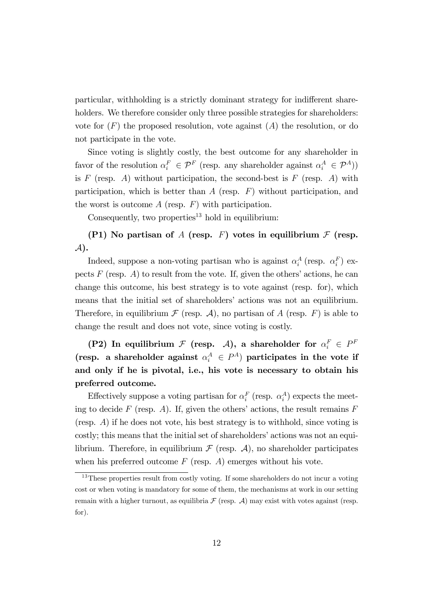particular, withholding is a strictly dominant strategy for indifferent shareholders. We therefore consider only three possible strategies for shareholders: vote for  $(F)$  the proposed resolution, vote against  $(A)$  the resolution, or do not participate in the vote.

Since voting is slightly costly, the best outcome for any shareholder in favor of the resolution  $\alpha_i^F \in \mathcal{P}^F$  (resp. any shareholder against  $\alpha_i^A \in \mathcal{P}^A$ )) is  $F$  (resp. A) without participation, the second-best is  $F$  (resp. A) with participation, which is better than  $A$  (resp.  $F$ ) without participation, and the worst is outcome  $A$  (resp.  $F$ ) with participation.

Consequently, two properties<sup>13</sup> hold in equilibrium:

(P1) No partisan of A (resp. F) votes in equilibrium  $\mathcal F$  (resp.  $\mathcal{A}$ .

Indeed, suppose a non-voting partisan who is against  $\alpha_i^A$  (resp.  $\alpha_i^F$ ) expects  $F$  (resp.  $A$ ) to result from the vote. If, given the others' actions, he can change this outcome, his best strategy is to vote against (resp. for), which means that the initial set of shareholders' actions was not an equilibrium. Therefore, in equilibrium  $\mathcal F$  (resp.  $\mathcal A$ ), no partisan of A (resp. F) is able to change the result and does not vote, since voting is costly.

(P2) In equilibrium  $\mathcal F$  (resp.  $\mathcal A$ ), a shareholder for  $\alpha_i^F \in P^F$ (resp. a shareholder against  $\alpha_i^A \in P^A$ ) participates in the vote if and only if he is pivotal, i.e., his vote is necessary to obtain his preferred outcome.

Effectively suppose a voting partisan for  $\alpha_i^F$  (resp.  $\alpha_i^A$ ) expects the meeting to decide F (resp. A). If, given the others' actions, the result remains  $F$ (resp. A) if he does not vote, his best strategy is to withhold, since voting is costly; this means that the initial set of shareholders' actions was not an equilibrium. Therefore, in equilibrium  $\mathcal F$  (resp.  $\mathcal A$ ), no shareholder participates when his preferred outcome  $F$  (resp.  $A$ ) emerges without his vote.

<sup>&</sup>lt;sup>13</sup>These properties result from costly voting. If some shareholders do not incur a voting cost or when voting is mandatory for some of them, the mechanisms at work in our setting remain with a higher turnout, as equilibria  $\mathcal F$  (resp.  $\mathcal A$ ) may exist with votes against (resp. for).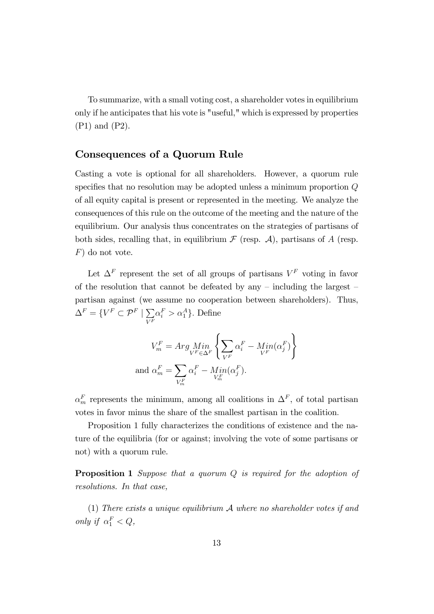To summarize, with a small voting cost, a shareholder votes in equilibrium only if he anticipates that his vote is "useful," which is expressed by properties (P1) and (P2).

### Consequences of a Quorum Rule

Casting a vote is optional for all shareholders. However, a quorum rule specifies that no resolution may be adopted unless a minimum proportion  $Q$ of all equity capital is present or represented in the meeting. We analyze the consequences of this rule on the outcome of the meeting and the nature of the equilibrium. Our analysis thus concentrates on the strategies of partisans of both sides, recalling that, in equilibrium  $\mathcal F$  (resp.  $\mathcal A$ ), partisans of A (resp. F) do not vote.

Let  $\Delta^F$  represent the set of all groups of partisans  $V^F$  voting in favor of the resolution that cannot be defeated by any  $-$  including the largest  $$ partisan against (we assume no cooperation between shareholders). Thus,  $\Delta^F = \{V^F \subset \mathcal{P}^F \mid \sum_{\tau \in F}$  $V^F$  $\alpha_i^F > \alpha_1^A$ . Define

$$
V_m^F = Arg \underset{V^F}{Min} \left\{ \sum_{V^F} \alpha_i^F - \underset{V^F}{Min} (\alpha_j^F) \right\}
$$
  
and 
$$
\alpha_m^F = \sum_{V_m^F} \alpha_i^F - \underset{V_m^F}{Min} (\alpha_j^F).
$$

 $\alpha_m^F$  represents the minimum, among all coalitions in  $\Delta^F$ , of total partisan votes in favor minus the share of the smallest partisan in the coalition:

Proposition 1 fully characterizes the conditions of existence and the nature of the equilibria (for or against; involving the vote of some partisans or not) with a quorum rule.

**Proposition 1** Suppose that a quorum Q is required for the adoption of resolutions. In that case,

(1) There exists a unique equilibrium  $A$  where no shareholder votes if and only if  $\alpha_1^F < Q$ ,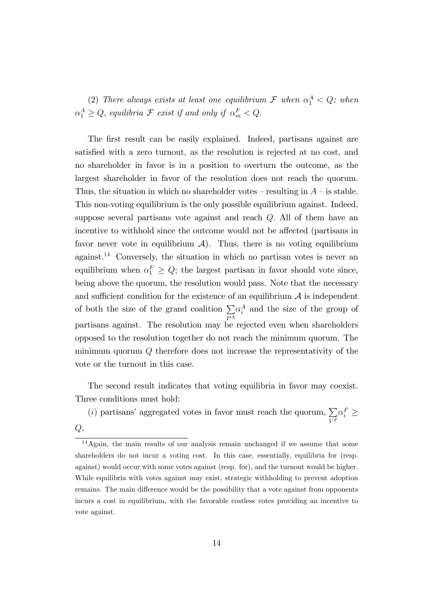(2) There always exists at least one equilibrium  $\mathcal F$  when  $\alpha_1^A < Q$ ; when  $\alpha_1^A \geq Q$ , equilibria  $\mathcal F$  exist if and only if  $\alpha_m^F < Q$ .

The first result can be easily explained. Indeed, partisans against are satisfied with a zero turnout, as the resolution is rejected at no cost, and no shareholder in favor is in a position to overturn the outcome, as the largest shareholder in favor of the resolution does not reach the quorum. Thus, the situation in which no shareholder votes – resulting in  $A$  – is stable. This non-voting equilibrium is the only possible equilibrium against. Indeed, suppose several partisans vote against and reach  $Q$ . All of them have an incentive to withhold since the outcome would not be affected (partisans in favor never vote in equilibrium  $\mathcal{A}$ ). Thus, there is no voting equilibrium against.<sup>14</sup> Conversely, the situation in which no partisan votes is never an equilibrium when  $\alpha_1^F \geq Q$ ; the largest partisan in favor should vote since, being above the quorum, the resolution would pass. Note that the necessary and sufficient condition for the existence of an equilibrium  $A$  is independent of both the size of the grand coalition  $\Sigma$  $P^A$  $\alpha_i^A$  and the size of the group of partisans against. The resolution may be rejected even when shareholders opposed to the resolution together do not reach the minimum quorum. The minimum quorum Q therefore does not increase the representativity of the vote or the turnout in this case.

The second result indicates that voting equilibria in favor may coexist. Three conditions must hold:

(i) partisans' aggregated votes in favor must reach the quorum,  $\Sigma$  $\alpha_i^F \geq$ 

 $V^F$ 

 $Q,$ 

<sup>14</sup>Again, the main results of our analysis remain unchanged if we assume that some shareholders do not incur a voting cost. In this case, essentially, equilibria for (resp. against) would occur with some votes against (resp. for), and the turnout would be higher. While equilibria with votes against may exist, strategic withholding to prevent adoption remains. The main difference would be the possibility that a vote against from opponents incurs a cost in equilibrium, with the favorable costless votes providing an incentive to vote against.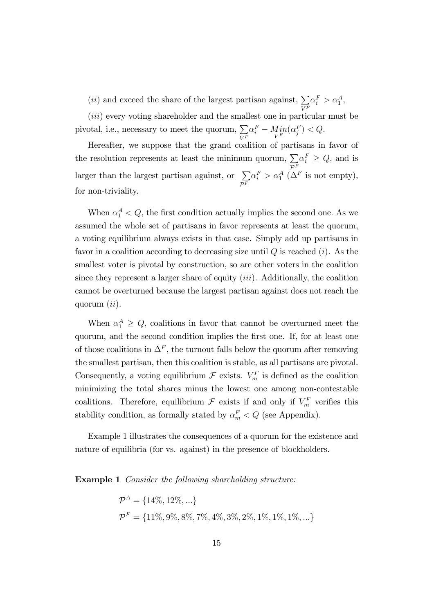(*ii*) and exceed the share of the largest partisan against,  $\sum$  $V^F$  $\alpha_i^F > \alpha_1^A,$ 

(*iii*) every voting shareholder and the smallest one in particular must be pivotal, i.e., necessary to meet the quorum,  $\Sigma$  $V^F$  $\alpha_i^F - \underset{V^F}{Min}(\alpha_j^F) < Q.$ 

Hereafter, we suppose that the grand coalition of partisans in favor of the resolution represents at least the minimum quorum,  $\sum_{\alpha} \alpha_i^F \ge Q$ , and is larger than the largest partisan against, or  $\sum \alpha_i^F > \alpha_1^A$  ( $\Delta$ )  $\mathcal{P}^F$  $\alpha_i^F > \alpha_1^A \; (\Delta^F \text{ is not empty}),$ for non-triviality.

When  $\alpha_1^A < Q$ , the first condition actually implies the second one. As we assumed the whole set of partisans in favor represents at least the quorum, a voting equilibrium always exists in that case. Simply add up partisans in favor in a coalition according to decreasing size until  $Q$  is reached  $(i)$ . As the smallest voter is pivotal by construction, so are other voters in the coalition since they represent a larger share of equity  $(iii)$ . Additionally, the coalition cannot be overturned because the largest partisan against does not reach the quorum  $(ii)$ .

When  $\alpha_1^A \geq Q$ , coalitions in favor that cannot be overturned meet the quorum, and the second condition implies the first one. If, for at least one of those coalitions in  $\Delta^F$ , the turnout falls below the quorum after removing the smallest partisan, then this coalition is stable, as all partisans are pivotal. Consequently, a voting equilibrium  $\mathcal F$  exists.  $V_m^F$  is defined as the coalition minimizing the total shares minus the lowest one among non-contestable coalitions. Therefore, equilibrium  $\mathcal F$  exists if and only if  $V_m^F$  verifies this stability condition, as formally stated by  $\alpha_m^F < Q$  (see Appendix).

Example 1 illustrates the consequences of a quorum for the existence and nature of equilibria (for vs. against) in the presence of blockholders.

**Example 1** Consider the following shareholding structure:

$$
\mathcal{P}^{A} = \{14\%, 12\%, ...\}
$$
  

$$
\mathcal{P}^{F} = \{11\%, 9\%, 8\%, 7\%, 4\%, 3\%, 2\%, 1\%, 1\%, 1\%, ...\}
$$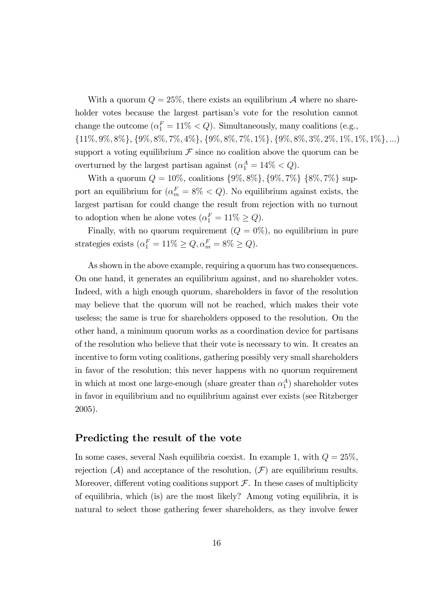With a quorum  $Q = 25\%$ , there exists an equilibrium A where no shareholder votes because the largest partisan's vote for the resolution cannot change the outcome  $(\alpha_1^F = 11\% < Q)$ . Simultaneously, many coalitions (e.g.,  $\{11\%, 9\%, 8\%\}, \{9\%, 8\%, 7\%, 4\%\}, \{9\%, 8\%, 7\%, 1\%\}, \{9\%, 8\%, 3\%, 2\%, 1\%, 1\%, 1\%\}, \ldots\}$ support a voting equilibrium  $\mathcal F$  since no coalition above the quorum can be overturned by the largest partisan against  $(\alpha_1^A = 14\% < Q)$ .

With a quorum  $Q = 10\%$ , coalitions  $\{9\%, 8\%\}, \{9\%, 7\%\}, \{8\%, 7\%\}$  support an equilibrium for  $(\alpha_m^F = 8\% < Q)$ . No equilibrium against exists, the largest partisan for could change the result from rejection with no turnout to adoption when he alone votes  $(\alpha_1^F = 11\% \geq Q)$ .

Finally, with no quorum requirement  $(Q = 0\%)$ , no equilibrium in pure strategies exists  $(\alpha_1^F = 11\% \ge Q, \alpha_m^F = 8\% \ge Q).$ 

As shown in the above example, requiring a quorum has two consequences. On one hand, it generates an equilibrium against, and no shareholder votes. Indeed, with a high enough quorum, shareholders in favor of the resolution may believe that the quorum will not be reached, which makes their vote useless; the same is true for shareholders opposed to the resolution. On the other hand, a minimum quorum works as a coordination device for partisans of the resolution who believe that their vote is necessary to win. It creates an incentive to form voting coalitions, gathering possibly very small shareholders in favor of the resolution; this never happens with no quorum requirement in which at most one large-enough (share greater than  $\alpha_1^A$ ) shareholder votes in favor in equilibrium and no equilibrium against ever exists (see Ritzberger 2005).

#### Predicting the result of the vote

In some cases, several Nash equilibria coexist. In example 1, with  $Q = 25\%$ , rejection  $(\mathcal{A})$  and acceptance of the resolution,  $(\mathcal{F})$  are equilibrium results. Moreover, different voting coalitions support  $\mathcal{F}$ . In these cases of multiplicity of equilibria, which (is) are the most likely? Among voting equilibria, it is natural to select those gathering fewer shareholders, as they involve fewer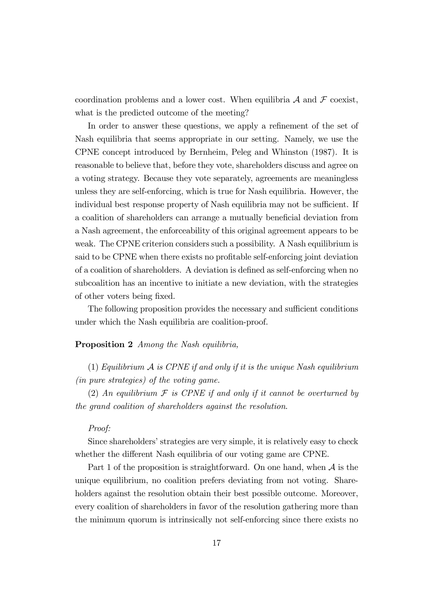coordination problems and a lower cost. When equilibria  $\mathcal A$  and  $\mathcal F$  coexist, what is the predicted outcome of the meeting?

In order to answer these questions, we apply a refinement of the set of Nash equilibria that seems appropriate in our setting. Namely, we use the CPNE concept introduced by Bernheim, Peleg and Whinston (1987). It is reasonable to believe that, before they vote, shareholders discuss and agree on a voting strategy. Because they vote separately, agreements are meaningless unless they are self-enforcing, which is true for Nash equilibria. However, the individual best response property of Nash equilibria may not be sufficient. If a coalition of shareholders can arrange a mutually beneficial deviation from a Nash agreement, the enforceability of this original agreement appears to be weak. The CPNE criterion considers such a possibility. A Nash equilibrium is said to be CPNE when there exists no profitable self-enforcing joint deviation of a coalition of shareholders. A deviation is defined as self-enforcing when no subcoalition has an incentive to initiate a new deviation, with the strategies of other voters being fixed.

The following proposition provides the necessary and sufficient conditions under which the Nash equilibria are coalition-proof.

#### Proposition 2 Among the Nash equilibria,

(1) Equilibrium  $\mathcal A$  is CPNE if and only if it is the unique Nash equilibrium (in pure strategies) of the voting game.

(2) An equilibrium  $\mathcal F$  is CPNE if and only if it cannot be overturned by the grand coalition of shareholders against the resolution.

#### Proof:

Since shareholders' strategies are very simple, it is relatively easy to check whether the different Nash equilibria of our voting game are CPNE.

Part 1 of the proposition is straightforward. On one hand, when  $A$  is the unique equilibrium, no coalition prefers deviating from not voting. Shareholders against the resolution obtain their best possible outcome. Moreover, every coalition of shareholders in favor of the resolution gathering more than the minimum quorum is intrinsically not self-enforcing since there exists no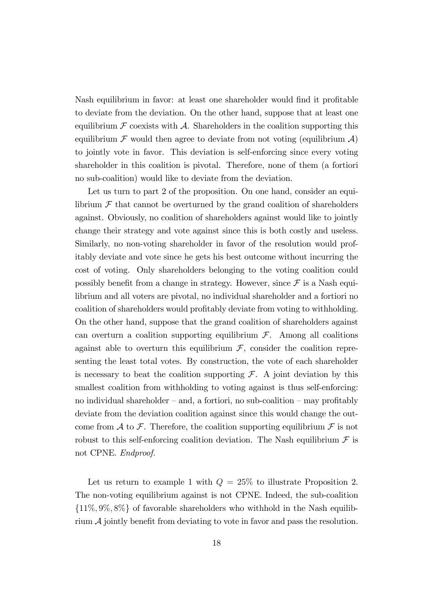Nash equilibrium in favor: at least one shareholder would find it profitable to deviate from the deviation. On the other hand, suppose that at least one equilibrium  $\mathcal F$  coexists with  $\mathcal A$ . Shareholders in the coalition supporting this equilibrium  $\mathcal F$  would then agree to deviate from not voting (equilibrium  $\mathcal A$ ) to jointly vote in favor. This deviation is self-enforcing since every voting shareholder in this coalition is pivotal. Therefore, none of them (a fortiori no sub-coalition) would like to deviate from the deviation.

Let us turn to part 2 of the proposition. On one hand, consider an equilibrium  $\mathcal F$  that cannot be overturned by the grand coalition of shareholders against. Obviously, no coalition of shareholders against would like to jointly change their strategy and vote against since this is both costly and useless. Similarly, no non-voting shareholder in favor of the resolution would profitably deviate and vote since he gets his best outcome without incurring the cost of voting. Only shareholders belonging to the voting coalition could possibly benefit from a change in strategy. However, since  $\mathcal F$  is a Nash equilibrium and all voters are pivotal, no individual shareholder and a fortiori no coalition of shareholders would profitably deviate from voting to withholding. On the other hand, suppose that the grand coalition of shareholders against can overturn a coalition supporting equilibrium  $\mathcal{F}$ . Among all coalitions against able to overturn this equilibrium  $\mathcal{F}$ , consider the coalition representing the least total votes. By construction, the vote of each shareholder is necessary to beat the coalition supporting  $\mathcal{F}$ . A joint deviation by this smallest coalition from withholding to voting against is thus self-enforcing: no individual shareholder  $-$  and, a fortiori, no sub-coalition  $-$  may profitably deviate from the deviation coalition against since this would change the outcome from A to F. Therefore, the coalition supporting equilibrium  $\mathcal F$  is not robust to this self-enforcing coalition deviation. The Nash equilibrium  $\mathcal F$  is not CPNE. Endproof.

Let us return to example 1 with  $Q = 25\%$  to illustrate Proposition 2. The non-voting equilibrium against is not CPNE. Indeed, the sub-coalition  $\{11\%, 9\%, 8\%\}\$  of favorable shareholders who withhold in the Nash equilibrium  $\mathcal A$  jointly benefit from deviating to vote in favor and pass the resolution.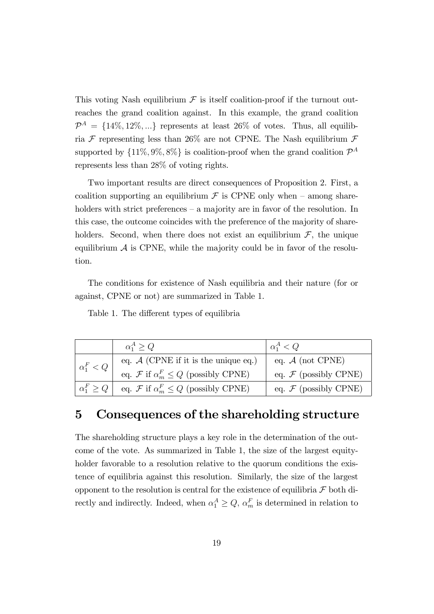This voting Nash equilibrium  $\mathcal F$  is itself coalition-proof if the turnout outreaches the grand coalition against. In this example, the grand coalition  $\mathcal{P}^A = \{14\%, 12\%, ...\}$  represents at least 26% of votes. Thus, all equilibria  $\mathcal F$  representing less than 26% are not CPNE. The Nash equilibrium  $\mathcal F$ supported by  $\{11\%, 9\%, 8\%\}\$ is coalition-proof when the grand coalition  $\mathcal{P}^A$ represents less than 28% of voting rights.

Two important results are direct consequences of Proposition 2. First, a coalition supporting an equilibrium  $\mathcal F$  is CPNE only when – among shareholders with strict preferences  $-$  a majority are in favor of the resolution. In this case, the outcome coincides with the preference of the majority of shareholders. Second, when there does not exist an equilibrium  $\mathcal{F}$ , the unique equilibrium  $A$  is CPNE, while the majority could be in favor of the resolution.

The conditions for existence of Nash equilibria and their nature (for or against, CPNE or not) are summarized in Table 1.

Table 1. The different types of equilibria

|                     | $\alpha_1^A > Q$                                        | $\alpha_1^A < Q$                 |
|---------------------|---------------------------------------------------------|----------------------------------|
| $\alpha_1^F < Q$    | eq. $A$ (CPNE if it is the unique eq.)                  | eq. $A$ (not CPNE)               |
|                     | eq. $\mathcal F$ if $\alpha_m^F \leq Q$ (possibly CPNE) | eq. $\mathcal F$ (possibly CPNE) |
| $\alpha_1^F \geq Q$ | eq. F if $\alpha_m^F \leq Q$ (possibly CPNE)            | eq. $\mathcal F$ (possibly CPNE) |

# 5 Consequences of the shareholding structure

The shareholding structure plays a key role in the determination of the outcome of the vote. As summarized in Table 1, the size of the largest equityholder favorable to a resolution relative to the quorum conditions the existence of equilibria against this resolution. Similarly, the size of the largest opponent to the resolution is central for the existence of equilibria  $\mathcal F$  both directly and indirectly. Indeed, when  $\alpha_1^A \geq Q$ ,  $\alpha_m^F$  is determined in relation to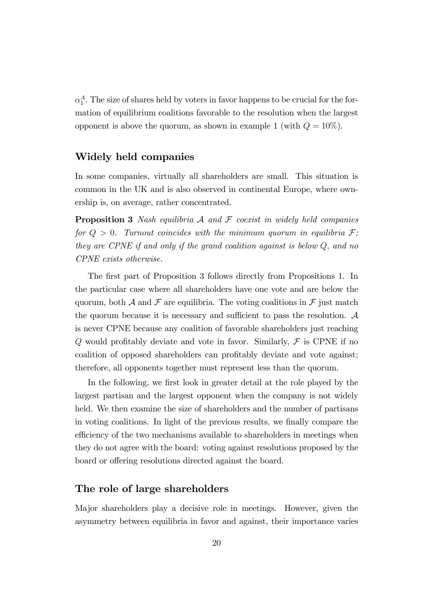$\alpha_1^A$ . The size of shares held by voters in favor happens to be crucial for the formation of equilibrium coalitions favorable to the resolution when the largest opponent is above the quorum, as shown in example 1 (with  $Q = 10\%$ ).

## Widely held companies

In some companies, virtually all shareholders are small. This situation is common in the UK and is also observed in continental Europe, where ownership is, on average, rather concentrated.

**Proposition 3** Nash equilibria  $\mathcal A$  and  $\mathcal F$  coexist in widely held companies for  $Q > 0$ . Turnout coincides with the minimum quorum in equilibria  $\mathcal{F}$ ; they are CPNE if and only if the grand coalition against is below  $Q$ , and no CPNE exists otherwise.

The first part of Proposition 3 follows directly from Propositions 1. In the particular case where all shareholders have one vote and are below the quorum, both A and F are equilibria. The voting coalitions in F just match the quorum because it is necessary and sufficient to pass the resolution.  $A$ is never CPNE because any coalition of favorable shareholders just reaching Q would profitably deviate and vote in favor. Similarly,  $\mathcal F$  is CPNE if no coalition of opposed shareholders can profitably deviate and vote against; therefore, all opponents together must represent less than the quorum.

In the following, we first look in greater detail at the role played by the largest partisan and the largest opponent when the company is not widely held. We then examine the size of shareholders and the number of partisans in voting coalitions. In light of the previous results, we finally compare the efficiency of the two mechanisms available to shareholders in meetings when they do not agree with the board: voting against resolutions proposed by the board or offering resolutions directed against the board.

#### The role of large shareholders

Major shareholders play a decisive role in meetings. However, given the asymmetry between equilibria in favor and against, their importance varies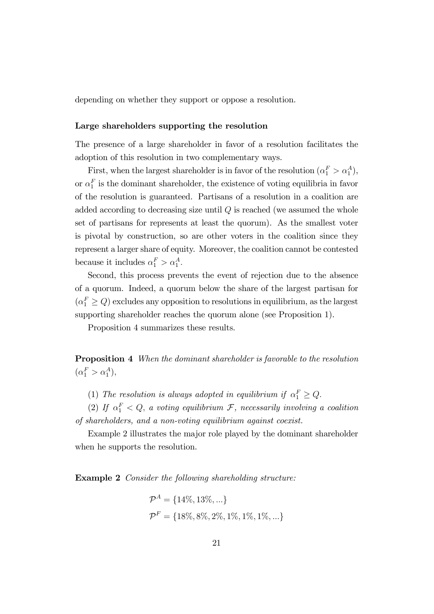depending on whether they support or oppose a resolution.

#### Large shareholders supporting the resolution

The presence of a large shareholder in favor of a resolution facilitates the adoption of this resolution in two complementary ways.

First, when the largest shareholder is in favor of the resolution  $(\alpha_1^F > \alpha_1^A)$ , or  $\alpha_1^F$  is the dominant shareholder, the existence of voting equilibria in favor of the resolution is guaranteed. Partisans of a resolution in a coalition are added according to decreasing size until  $Q$  is reached (we assumed the whole set of partisans for represents at least the quorum). As the smallest voter is pivotal by construction, so are other voters in the coalition since they represent a larger share of equity. Moreover, the coalition cannot be contested because it includes  $\alpha_1^F > \alpha_1^A$ .

Second, this process prevents the event of rejection due to the absence of a quorum. Indeed, a quorum below the share of the largest partisan for  $(\alpha_1^F \geq Q)$  excludes any opposition to resolutions in equilibrium, as the largest supporting shareholder reaches the quorum alone (see Proposition 1).

Proposition 4 summarizes these results.

Proposition 4 When the dominant shareholder is favorable to the resolution  $(\alpha_1^F > \alpha_1^A),$ 

(1) The resolution is always adopted in equilibrium if  $\alpha_1^F \geq Q$ .

(2) If  $\alpha_1^F < Q$ , a voting equilibrium  $\mathcal{F}$ , necessarily involving a coalition of shareholders, and a non-voting equilibrium against coexist.

Example 2 illustrates the major role played by the dominant shareholder when he supports the resolution.

Example 2 Consider the following shareholding structure:

$$
\mathcal{P}^{A} = \{14\%, 13\%, \ldots\}
$$
  

$$
\mathcal{P}^{F} = \{18\%, 8\%, 2\%, 1\%, 1\%, 1\%, \ldots\}
$$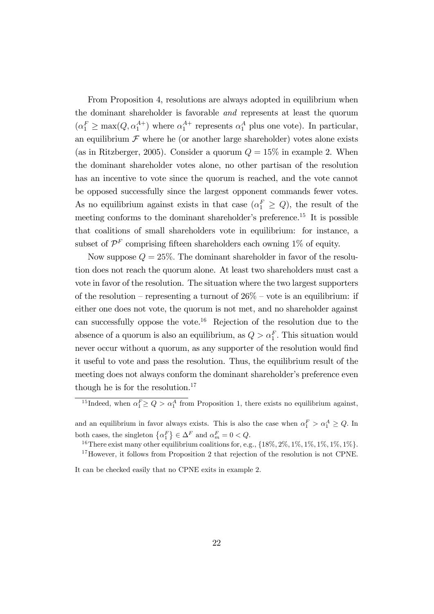From Proposition 4, resolutions are always adopted in equilibrium when the dominant shareholder is favorable and represents at least the quorum  $(\alpha_1^F \ge \max(Q, \alpha_1^{A+})$  where  $\alpha_1^{A+}$  represents  $\alpha_1^A$  plus one vote). In particular, an equilibrium  $\mathcal F$  where he (or another large shareholder) votes alone exists (as in Ritzberger, 2005). Consider a quorum  $Q = 15\%$  in example 2. When the dominant shareholder votes alone, no other partisan of the resolution has an incentive to vote since the quorum is reached, and the vote cannot be opposed successfully since the largest opponent commands fewer votes. As no equilibrium against exists in that case  $(\alpha_1^F \geq Q)$ , the result of the meeting conforms to the dominant shareholder's preference.<sup>15</sup> It is possible that coalitions of small shareholders vote in equilibrium: for instance, a subset of  $\mathcal{P}^F$  comprising fifteen shareholders each owning 1% of equity.

Now suppose  $Q = 25\%$ . The dominant shareholder in favor of the resolution does not reach the quorum alone. At least two shareholders must cast a vote in favor of the resolution. The situation where the two largest supporters of the resolution – representing a turnout of  $26\%$  – vote is an equilibrium: if either one does not vote, the quorum is not met, and no shareholder against can successfully oppose the vote.<sup>16</sup> Rejection of the resolution due to the absence of a quorum is also an equilibrium, as  $Q > \alpha_1^F$ . This situation would never occur without a quorum, as any supporter of the resolution would find it useful to vote and pass the resolution. Thus, the equilibrium result of the meeting does not always conform the dominant shareholder's preference even though he is for the resolution. $17$ 

It can be checked easily that no CPNE exits in example 2.

<sup>&</sup>lt;sup>15</sup>Indeed, when  $\alpha_1^F \geq Q > \alpha_1^A$  from Proposition 1, there exists no equilibrium against,

and an equilibrium in favor always exists. This is also the case when  $\alpha_1^F > \alpha_1^A \ge Q$ . In both cases, the singleton  $\{\alpha_1^F\} \in \Delta^F$  and  $\alpha_m^F = 0 < Q$ .

<sup>&</sup>lt;sup>16</sup>There exist many other equilibrium coalitions for, e.g.,  $\{18\%, 2\%, 1\%, 1\%, 1\%, 1\%, 1\% \}$ .

<sup>&</sup>lt;sup>17</sup>However, it follows from Proposition 2 that rejection of the resolution is not CPNE.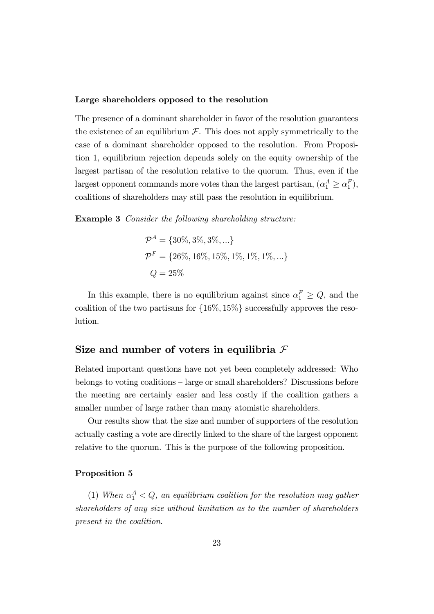#### Large shareholders opposed to the resolution

The presence of a dominant shareholder in favor of the resolution guarantees the existence of an equilibrium  $\mathcal F$ . This does not apply symmetrically to the case of a dominant shareholder opposed to the resolution. From Proposition 1, equilibrium rejection depends solely on the equity ownership of the largest partisan of the resolution relative to the quorum. Thus, even if the largest opponent commands more votes than the largest partisan,  $(\alpha_1^A \geq \alpha_1^F)$ , coalitions of shareholders may still pass the resolution in equilibrium.

Example 3 Consider the following shareholding structure:

$$
\mathcal{P}^{A} = \{30\%, 3\%, 3\%, ...\}
$$
  

$$
\mathcal{P}^{F} = \{26\%, 16\%, 15\%, 1\%, 1\%, 1\%, ...\}
$$
  

$$
Q = 25\%
$$

In this example, there is no equilibrium against since  $\alpha_1^F \geq Q$ , and the coalition of the two partisans for  $\{16\%, 15\%\}$  successfully approves the resolution.

### Size and number of voters in equilibria  $\mathcal F$

Related important questions have not yet been completely addressed: Who belongs to voting coalitions  $-$  large or small shareholders? Discussions before the meeting are certainly easier and less costly if the coalition gathers a smaller number of large rather than many atomistic shareholders.

Our results show that the size and number of supporters of the resolution actually casting a vote are directly linked to the share of the largest opponent relative to the quorum. This is the purpose of the following proposition.

#### Proposition 5

(1) When  $\alpha_1^A < Q$ , an equilibrium coalition for the resolution may gather shareholders of any size without limitation as to the number of shareholders present in the coalition.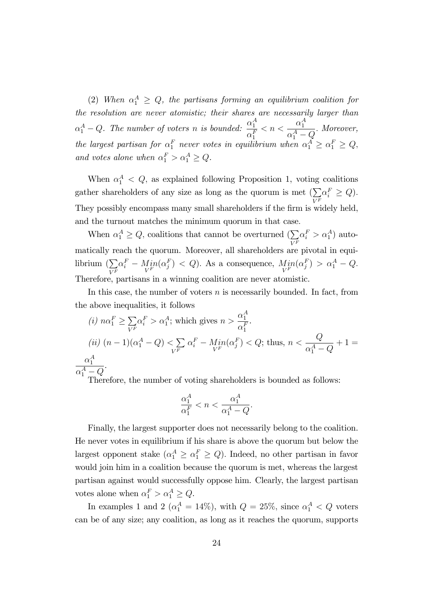(2) When  $\alpha_1^A \geq Q$ , the partisans forming an equilibrium coalition for the resolution are never atomistic; their shares are necessarily larger than  $\alpha_1^A-Q$ . The number of voters n is bounded:  $\frac{\alpha_1^A}{\alpha_1^F}$  $\alpha_1^F$  $< n <$  $\alpha_1^A$  $\alpha_1^A-Q$ : Moreover, the largest partisan for  $\alpha_1^F$  never votes in equilibrium when  $\alpha_1^A \geq \alpha_1^F \geq Q$ , and votes alone when  $\alpha_1^F > \alpha_1^A \ge Q$ .

When  $\alpha_1^A < Q$ , as explained following Proposition 1, voting coalitions gather shareholders of any size as long as the quorum is met  $(\sum$  $V^F$  $\alpha_i^F \geq Q$ ). They possibly encompass many small shareholders if the firm is widely held, and the turnout matches the minimum quorum in that case.

When  $\alpha_1^A \geq Q$ , coalitions that cannot be overturned  $\left(\sum_{i} \alpha_i^F > \alpha_1^A\right)$  auto- $V^F$ matically reach the quorum. Moreover, all shareholders are pivotal in equilibrium  $\left(\sum\right)$  $V^F$  $\alpha_i^F - \underset{V^F}{Min}(\alpha_j^F) < Q$ ). As a consequence,  $\underset{V^F}{Min}(\alpha_j^F) > \alpha_1^A - Q$ . Therefore, partisans in a winning coalition are never atomistic.

In this case, the number of voters  $n$  is necessarily bounded. In fact, from the above inequalities, it follows

(i) 
$$
n\alpha_1^F \ge \sum_{V^F} \alpha_i^F > \alpha_1^A
$$
; which gives  $n > \frac{\alpha_1^A}{\alpha_1^F}$ .  
\n(ii)  $(n-1)(\alpha_1^A - Q) < \sum_{V^F} \alpha_i^F - Min(\alpha_j^F) < Q$ ; thus,  $n < \frac{Q}{\alpha_1^A - Q} + 1 = \frac{\alpha_1^A}{\alpha_1^A - Q}$ .

Therefore, the number of voting shareholders is bounded as follows:

$$
\frac{\alpha_1^A}{\alpha_1^F} < n < \frac{\alpha_1^A}{\alpha_1^A - Q}.
$$

Finally, the largest supporter does not necessarily belong to the coalition. He never votes in equilibrium if his share is above the quorum but below the largest opponent stake  $(\alpha_1^A \geq \alpha_1^F \geq Q)$ . Indeed, no other partisan in favor would join him in a coalition because the quorum is met, whereas the largest partisan against would successfully oppose him. Clearly, the largest partisan votes alone when  $\alpha_1^F > \alpha_1^A \ge Q$ .

In examples 1 and 2 ( $\alpha_1^A = 14\%$ ), with  $Q = 25\%$ , since  $\alpha_1^A < Q$  voters can be of any size; any coalition, as long as it reaches the quorum, supports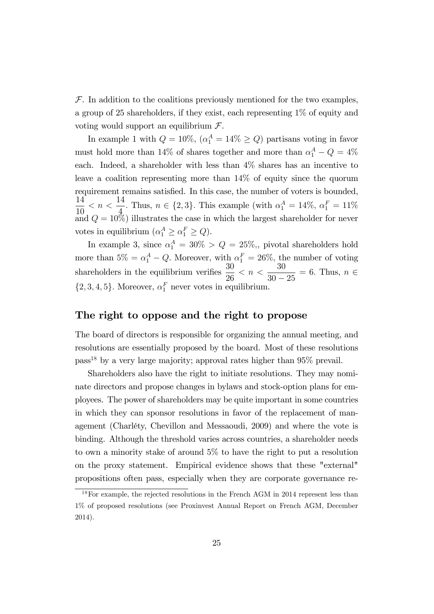$\mathcal F$ . In addition to the coalitions previously mentioned for the two examples, a group of 25 shareholders, if they exist, each representing 1% of equity and voting would support an equilibrium  $\mathcal{F}.$ 

In example 1 with  $Q = 10\%, (\alpha_1^A = 14\% \ge Q)$  partisans voting in favor must hold more than  $14\%$  of shares together and more than  $\alpha_1^A - Q = 4\%$ each. Indeed, a shareholder with less than 4% shares has an incentive to leave a coalition representing more than 14% of equity since the quorum requirement remains satisfied. In this case, the number of voters is bounded, 14 10  $< n <$ 14  $\frac{4}{4}$ . Thus,  $n \in \{2, 3\}$ . This example (with  $\alpha_1^A = 14\%$ ,  $\alpha_1^F = 11\%$ and  $Q = 10\%$  illustrates the case in which the largest shareholder for never votes in equilibrium  $(\alpha_1^A \ge \alpha_1^F \ge Q)$ .

In example 3, since  $\alpha_1^A = 30\% > Q = 25\%,$  pivotal shareholders hold more than  $5\% = \alpha_1^A - Q$ . Moreover, with  $\alpha_1^F = 26\%$ , the number of voting shareholders in the equilibrium verifies  $\frac{30}{20}$ 26  $<\,n\,<\,$ 30  $30 - 25$  $= 6.$  Thus,  $n \in$  $\{2, 3, 4, 5\}$ . Moreover,  $\alpha_1^F$  never votes in equilibrium.

### The right to oppose and the right to propose

The board of directors is responsible for organizing the annual meeting, and resolutions are essentially proposed by the board. Most of these resolutions  $pass<sup>18</sup>$  by a very large majority; approval rates higher than 95% prevail.

Shareholders also have the right to initiate resolutions. They may nominate directors and propose changes in bylaws and stock-option plans for employees. The power of shareholders may be quite important in some countries in which they can sponsor resolutions in favor of the replacement of management (Charléty, Chevillon and Messaoudi, 2009) and where the vote is binding. Although the threshold varies across countries, a shareholder needs to own a minority stake of around 5% to have the right to put a resolution on the proxy statement. Empirical evidence shows that these "external" propositions often pass, especially when they are corporate governance re-

<sup>18</sup>For example, the rejected resolutions in the French AGM in 2014 represent less than 1% of proposed resolutions (see Proxinvest Annual Report on French AGM, December 2014).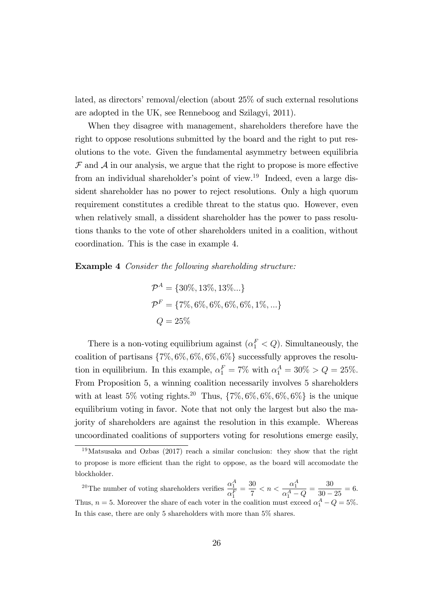lated, as directors' removal/election (about  $25\%$  of such external resolutions are adopted in the UK, see Renneboog and Szilagyi, 2011).

When they disagree with management, shareholders therefore have the right to oppose resolutions submitted by the board and the right to put resolutions to the vote. Given the fundamental asymmetry between equilibria  $\mathcal F$  and  $\mathcal A$  in our analysis, we argue that the right to propose is more effective from an individual shareholder's point of view.<sup>19</sup> Indeed, even a large dissident shareholder has no power to reject resolutions. Only a high quorum requirement constitutes a credible threat to the status quo. However, even when relatively small, a dissident shareholder has the power to pass resolutions thanks to the vote of other shareholders united in a coalition, without coordination. This is the case in example 4.

Example 4 Consider the following shareholding structure:

$$
\mathcal{P}^{A} = \{30\%, 13\%, 13\%...\}
$$
  

$$
\mathcal{P}^{F} = \{7\%, 6\%, 6\%, 6\%, 6\%, 1\%, ...\}
$$
  

$$
Q = 25\%
$$

There is a non-voting equilibrium against  $(\alpha_1^F < Q)$ . Simultaneously, the coalition of partisans  $\{7\%, 6\%, 6\%, 6\%, 6\%\}$  successfully approves the resolution in equilibrium. In this example,  $\alpha_1^F = 7\%$  with  $\alpha_1^A = 30\% > Q = 25\%$ . From Proposition 5, a winning coalition necessarily involves 5 shareholders with at least 5% voting rights.<sup>20</sup> Thus,  $\{7\%, 6\%, 6\%, 6\%, 6\% \}$  is the unique equilibrium voting in favor. Note that not only the largest but also the majority of shareholders are against the resolution in this example. Whereas uncoordinated coalitions of supporters voting for resolutions emerge easily,

<sup>&</sup>lt;sup>19</sup>Matsusaka and Ozbas (2017) reach a similar conclusion: they show that the right to propose is more efficient than the right to oppose, as the board will accomodate the blockholder.

<sup>&</sup>lt;sup>20</sup>The number of voting shareholders verifies  $\frac{\alpha_1^A}{\overline{F}}$  $\alpha_1^F$  $=\frac{30}{7}$  $\frac{30}{7} < n < \frac{\alpha_1^A}{\alpha_1^A - 1}$  $\frac{\alpha_1^A}{\alpha_1^A - Q} = \frac{30}{30 - 1}$  $\frac{30}{30-25} = 6.$ Thus,  $n = 5$ . Moreover the share of each voter in the coalition must exceed  $\alpha_1^A - Q = 5\%$ . In this case, there are only 5 shareholders with more than 5% shares.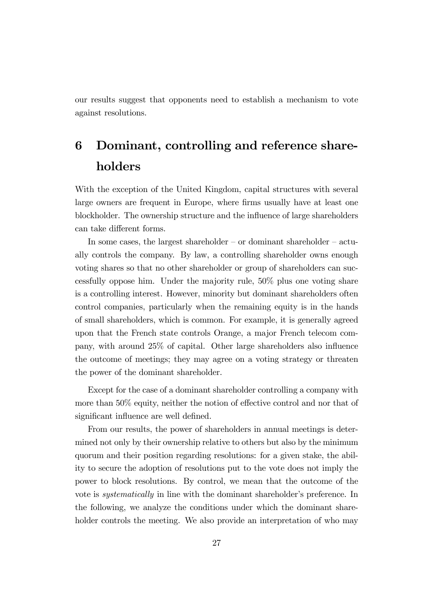our results suggest that opponents need to establish a mechanism to vote against resolutions.

# 6 Dominant, controlling and reference shareholders

With the exception of the United Kingdom, capital structures with several large owners are frequent in Europe, where firms usually have at least one blockholder. The ownership structure and the influence of large shareholders can take different forms.

In some cases, the largest shareholder  $-$  or dominant shareholder  $-$  actually controls the company. By law, a controlling shareholder owns enough voting shares so that no other shareholder or group of shareholders can successfully oppose him. Under the majority rule, 50% plus one voting share is a controlling interest. However, minority but dominant shareholders often control companies, particularly when the remaining equity is in the hands of small shareholders, which is common. For example, it is generally agreed upon that the French state controls Orange, a major French telecom company, with around  $25\%$  of capital. Other large shareholders also influence the outcome of meetings; they may agree on a voting strategy or threaten the power of the dominant shareholder.

Except for the case of a dominant shareholder controlling a company with more than  $50\%$  equity, neither the notion of effective control and nor that of significant influence are well defined.

From our results, the power of shareholders in annual meetings is determined not only by their ownership relative to others but also by the minimum quorum and their position regarding resolutions: for a given stake, the ability to secure the adoption of resolutions put to the vote does not imply the power to block resolutions. By control, we mean that the outcome of the vote is *systematically* in line with the dominant shareholder's preference. In the following, we analyze the conditions under which the dominant shareholder controls the meeting. We also provide an interpretation of who may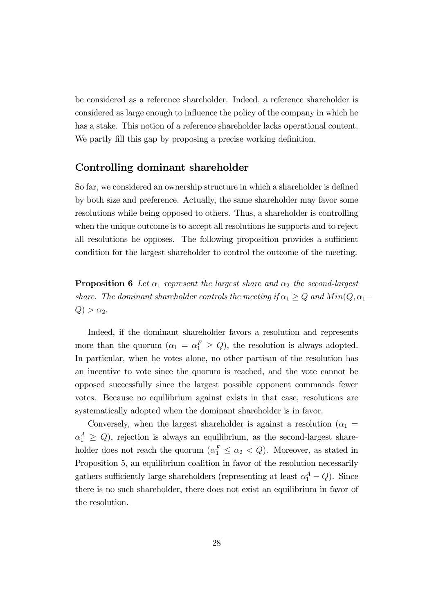be considered as a reference shareholder. Indeed, a reference shareholder is considered as large enough to influence the policy of the company in which he has a stake. This notion of a reference shareholder lacks operational content. We partly fill this gap by proposing a precise working definition.

## Controlling dominant shareholder

So far, we considered an ownership structure in which a shareholder is defined by both size and preference. Actually, the same shareholder may favor some resolutions while being opposed to others. Thus, a shareholder is controlling when the unique outcome is to accept all resolutions he supports and to reject all resolutions he opposes. The following proposition provides a sufficient condition for the largest shareholder to control the outcome of the meeting.

**Proposition 6** Let  $\alpha_1$  represent the largest share and  $\alpha_2$  the second-largest share. The dominant shareholder controls the meeting if  $\alpha_1 \geq Q$  and  $Min(Q, \alpha_1 Q) > \alpha_2.$ 

Indeed, if the dominant shareholder favors a resolution and represents more than the quorum  $(\alpha_1 = \alpha_1^F \geq Q)$ , the resolution is always adopted. In particular, when he votes alone, no other partisan of the resolution has an incentive to vote since the quorum is reached, and the vote cannot be opposed successfully since the largest possible opponent commands fewer votes. Because no equilibrium against exists in that case, resolutions are systematically adopted when the dominant shareholder is in favor.

Conversely, when the largest shareholder is against a resolution ( $\alpha_1$  =  $\alpha_1^A \geq Q$ , rejection is always an equilibrium, as the second-largest shareholder does not reach the quorum  $(\alpha_1^F \leq \alpha_2 < Q)$ . Moreover, as stated in Proposition 5, an equilibrium coalition in favor of the resolution necessarily gathers sufficiently large shareholders (representing at least  $\alpha_1^A - Q$ ). Since there is no such shareholder, there does not exist an equilibrium in favor of the resolution.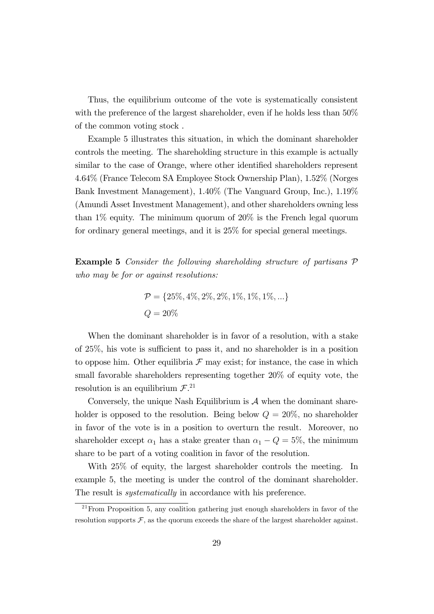Thus, the equilibrium outcome of the vote is systematically consistent with the preference of the largest shareholder, even if he holds less than 50% of the common voting stock .

Example 5 illustrates this situation, in which the dominant shareholder controls the meeting. The shareholding structure in this example is actually similar to the case of Orange, where other identified shareholders represent 4.64% (France Telecom SA Employee Stock Ownership Plan), 1.52% (Norges Bank Investment Management), 1.40% (The Vanguard Group, Inc.), 1.19% (Amundi Asset Investment Management), and other shareholders owning less than 1% equity. The minimum quorum of 20% is the French legal quorum for ordinary general meetings, and it is 25% for special general meetings.

Example 5 Consider the following shareholding structure of partisans  $\mathcal P$ who may be for or against resolutions:

$$
\mathcal{P} = \{25\%, 4\%, 2\%, 2\%, 1\%, 1\%, 1\%, \ldots\}
$$
  

$$
Q = 20\%
$$

When the dominant shareholder is in favor of a resolution, with a stake of  $25\%$ , his vote is sufficient to pass it, and no shareholder is in a position to oppose him. Other equilibria  $\mathcal F$  may exist; for instance, the case in which small favorable shareholders representing together 20% of equity vote, the resolution is an equilibrium  $\mathcal{F}^{21}$ 

Conversely, the unique Nash Equilibrium is  $A$  when the dominant shareholder is opposed to the resolution. Being below  $Q = 20\%$ , no shareholder in favor of the vote is in a position to overturn the result. Moreover, no shareholder except  $\alpha_1$  has a stake greater than  $\alpha_1 - Q = 5\%$ , the minimum share to be part of a voting coalition in favor of the resolution:

With 25% of equity, the largest shareholder controls the meeting. In example 5, the meeting is under the control of the dominant shareholder. The result is *systematically* in accordance with his preference.

 $21$  From Proposition 5, any coalition gathering just enough shareholders in favor of the resolution supports  $\mathcal{F}$ , as the quorum exceeds the share of the largest shareholder against.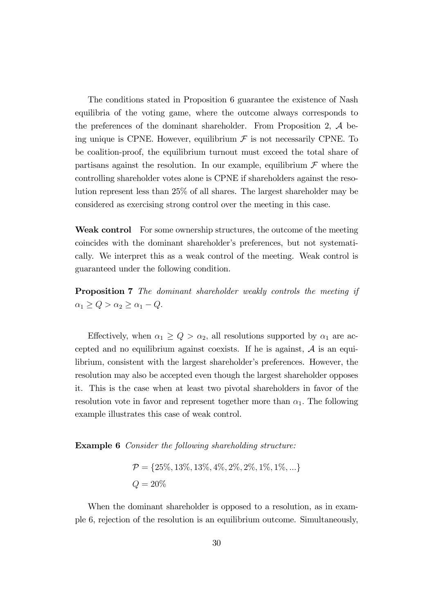The conditions stated in Proposition 6 guarantee the existence of Nash equilibria of the voting game, where the outcome always corresponds to the preferences of the dominant shareholder. From Proposition 2,  $A$  being unique is CPNE. However, equilibrium  $\mathcal F$  is not necessarily CPNE. To be coalition-proof, the equilibrium turnout must exceed the total share of partisans against the resolution. In our example, equilibrium  $\mathcal F$  where the controlling shareholder votes alone is CPNE if shareholders against the resolution represent less than 25% of all shares. The largest shareholder may be considered as exercising strong control over the meeting in this case.

Weak control For some ownership structures, the outcome of the meeting coincides with the dominant shareholder's preferences, but not systematically. We interpret this as a weak control of the meeting. Weak control is guaranteed under the following condition.

Proposition 7 The dominant shareholder weakly controls the meeting if  $\alpha_1 \ge Q > \alpha_2 \ge \alpha_1 - Q.$ 

Effectively, when  $\alpha_1 \ge Q > \alpha_2$ , all resolutions supported by  $\alpha_1$  are accepted and no equilibrium against coexists. If he is against,  $A$  is an equilibrium, consistent with the largest shareholder's preferences. However, the resolution may also be accepted even though the largest shareholder opposes it. This is the case when at least two pivotal shareholders in favor of the resolution vote in favor and represent together more than  $\alpha_1$ . The following example illustrates this case of weak control.

Example 6 Consider the following shareholding structure:

$$
\mathcal{P} = \{25\%, 13\%, 13\%, 4\%, 2\%, 2\%, 1\%, 1\%, ...\}
$$
  

$$
Q = 20\%
$$

When the dominant shareholder is opposed to a resolution, as in example 6, rejection of the resolution is an equilibrium outcome. Simultaneously,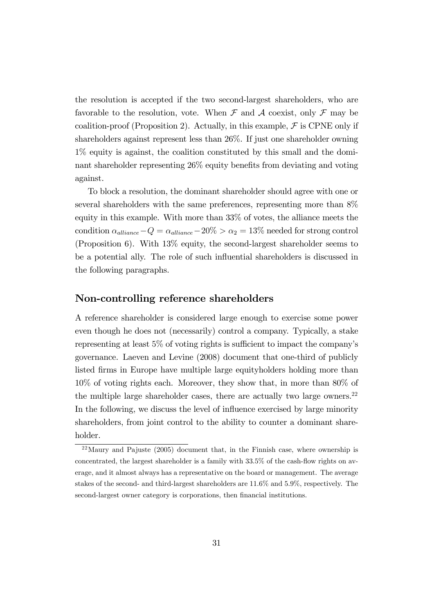the resolution is accepted if the two second-largest shareholders, who are favorable to the resolution, vote. When  $\mathcal F$  and  $\mathcal A$  coexist, only  $\mathcal F$  may be coalition-proof (Proposition 2). Actually, in this example,  $\mathcal F$  is CPNE only if shareholders against represent less than 26%. If just one shareholder owning 1% equity is against, the coalition constituted by this small and the dominant shareholder representing  $26\%$  equity benefits from deviating and voting against.

To block a resolution, the dominant shareholder should agree with one or several shareholders with the same preferences, representing more than 8% equity in this example. With more than 33% of votes, the alliance meets the condition  $\alpha_{\text{alliance}}-Q = \alpha_{\text{alliance}} - 20\% > \alpha_2 = 13\%$  needed for strong control (Proposition 6). With 13% equity, the second-largest shareholder seems to be a potential ally. The role of such ináuential shareholders is discussed in the following paragraphs.

### Non-controlling reference shareholders

A reference shareholder is considered large enough to exercise some power even though he does not (necessarily) control a company. Typically, a stake representing at least  $5\%$  of voting rights is sufficient to impact the company's governance. Laeven and Levine (2008) document that one-third of publicly listed firms in Europe have multiple large equityholders holding more than 10% of voting rights each. Moreover, they show that, in more than 80% of the multiple large shareholder cases, there are actually two large owners.<sup>22</sup> In the following, we discuss the level of influence exercised by large minority shareholders, from joint control to the ability to counter a dominant shareholder.

<sup>22</sup>Maury and Pajuste (2005) document that, in the Finnish case, where ownership is concentrated, the largest shareholder is a family with  $33.5\%$  of the cash-flow rights on average, and it almost always has a representative on the board or management. The average stakes of the second- and third-largest shareholders are 11.6% and 5.9%, respectively. The second-largest owner category is corporations, then financial institutions.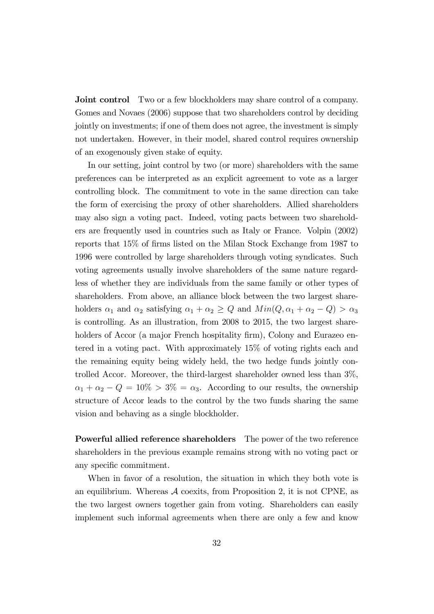**Joint control** Two or a few blockholders may share control of a company. Gomes and Novaes (2006) suppose that two shareholders control by deciding jointly on investments; if one of them does not agree, the investment is simply not undertaken. However, in their model, shared control requires ownership of an exogenously given stake of equity.

In our setting, joint control by two (or more) shareholders with the same preferences can be interpreted as an explicit agreement to vote as a larger controlling block. The commitment to vote in the same direction can take the form of exercising the proxy of other shareholders. Allied shareholders may also sign a voting pact. Indeed, voting pacts between two shareholders are frequently used in countries such as Italy or France. Volpin (2002) reports that 15% of firms listed on the Milan Stock Exchange from 1987 to 1996 were controlled by large shareholders through voting syndicates. Such voting agreements usually involve shareholders of the same nature regardless of whether they are individuals from the same family or other types of shareholders. From above, an alliance block between the two largest shareholders  $\alpha_1$  and  $\alpha_2$  satisfying  $\alpha_1 + \alpha_2 \ge Q$  and  $Min(Q, \alpha_1 + \alpha_2 - Q) > \alpha_3$ is controlling: As an illustration, from 2008 to 2015, the two largest shareholders of Accor (a major French hospitality firm), Colony and Eurazeo entered in a voting pact. With approximately 15% of voting rights each and the remaining equity being widely held, the two hedge funds jointly controlled Accor. Moreover, the third-largest shareholder owned less than 3%,  $\alpha_1 + \alpha_2 - Q = 10\% > 3\% = \alpha_3$ . According to our results, the ownership structure of Accor leads to the control by the two funds sharing the same vision and behaving as a single blockholder.

Powerful allied reference shareholders The power of the two reference shareholders in the previous example remains strong with no voting pact or any specific commitment.

When in favor of a resolution, the situation in which they both vote is an equilibrium. Whereas  $A$  coexits, from Proposition 2, it is not CPNE, as the two largest owners together gain from voting. Shareholders can easily implement such informal agreements when there are only a few and know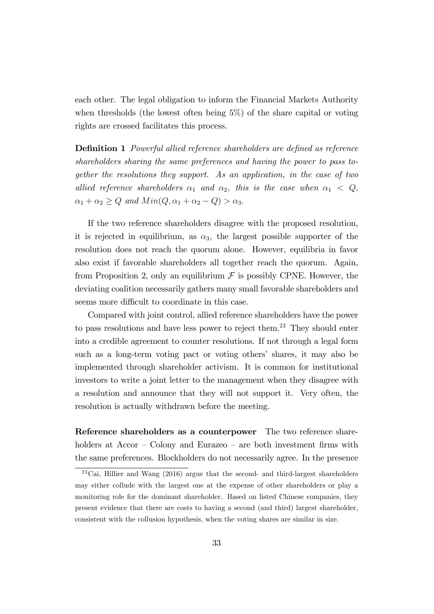each other. The legal obligation to inform the Financial Markets Authority when thresholds (the lowest often being 5%) of the share capital or voting rights are crossed facilitates this process.

**Definition 1** Powerful allied reference shareholders are defined as reference shareholders sharing the same preferences and having the power to pass together the resolutions they support. As an application, in the case of two allied reference shareholders  $\alpha_1$  and  $\alpha_2$ , this is the case when  $\alpha_1 < Q$ ,  $\alpha_1 + \alpha_2 \ge Q$  and  $Min(Q, \alpha_1 + \alpha_2 - Q) > \alpha_3$ .

If the two reference shareholders disagree with the proposed resolution, it is rejected in equilibrium, as  $\alpha_3$ , the largest possible supporter of the resolution does not reach the quorum alone. However, equilibria in favor also exist if favorable shareholders all together reach the quorum. Again, from Proposition 2, only an equilibrium  $\mathcal F$  is possibly CPNE. However, the deviating coalition necessarily gathers many small favorable shareholders and seems more difficult to coordinate in this case.

Compared with joint control, allied reference shareholders have the power to pass resolutions and have less power to reject them.<sup>23</sup> They should enter into a credible agreement to counter resolutions. If not through a legal form such as a long-term voting pact or voting others' shares, it may also be implemented through shareholder activism. It is common for institutional investors to write a joint letter to the management when they disagree with a resolution and announce that they will not support it. Very often, the resolution is actually withdrawn before the meeting.

Reference shareholders as a counterpower The two reference shareholders at  $Accor - Colony$  and Eurazeo – are both investment firms with the same preferences. Blockholders do not necessarily agree. In the presence

<sup>23</sup>Cai, Hillier and Wang (2016) argue that the second- and third-largest shareholders may either collude with the largest one at the expense of other shareholders or play a monitoring role for the dominant shareholder. Based on listed Chinese companies, they present evidence that there are costs to having a second (and third) largest shareholder, consistent with the collusion hypothesis, when the voting shares are similar in size.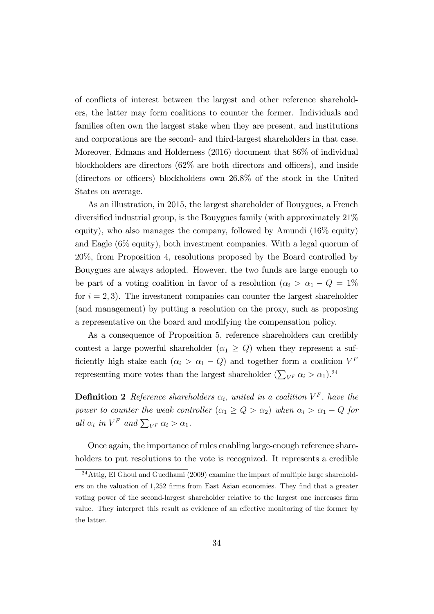of conflicts of interest between the largest and other reference shareholders, the latter may form coalitions to counter the former. Individuals and families often own the largest stake when they are present, and institutions and corporations are the second- and third-largest shareholders in that case. Moreover, Edmans and Holderness (2016) document that 86% of individual blockholders are directors  $(62\%$  are both directors and officers), and inside (directors or officers) blockholders own  $26.8\%$  of the stock in the United States on average.

As an illustration, in 2015, the largest shareholder of Bouygues, a French diversified industrial group, is the Bouygues family (with approximately  $21\%$ ) equity), who also manages the company, followed by Amundi (16% equity) and Eagle (6% equity), both investment companies. With a legal quorum of 20%, from Proposition 4, resolutions proposed by the Board controlled by Bouygues are always adopted. However, the two funds are large enough to be part of a voting coalition in favor of a resolution  $(\alpha_i > \alpha_1 - Q = 1\%)$ for  $i = 2, 3$ . The investment companies can counter the largest shareholder (and management) by putting a resolution on the proxy, such as proposing a representative on the board and modifying the compensation policy.

As a consequence of Proposition 5, reference shareholders can credibly contest a large powerful shareholder  $(\alpha_1 \geq Q)$  when they represent a sufficiently high stake each  $(\alpha_i > \alpha_1 - Q)$  and together form a coalition  $V^F$ representing more votes than the largest shareholder  $(\sum_{V^F} \alpha_i > \alpha_1)^{24}$ 

**Definition 2** Reference shareholders  $\alpha_i$ , united in a coalition  $V^F$ , have the power to counter the weak controller  $(\alpha_1 \ge Q > \alpha_2)$  when  $\alpha_i > \alpha_1 - Q$  for all  $\alpha_i$  in  $V^F$  and  $\sum_{V^F} \alpha_i > \alpha_1$ .

Once again, the importance of rules enabling large-enough reference shareholders to put resolutions to the vote is recognized. It represents a credible

<sup>&</sup>lt;sup>24</sup> Attig, El Ghoul and Guedhami (2009) examine the impact of multiple large shareholders on the valuation of 1,252 firms from East Asian economies. They find that a greater voting power of the second-largest shareholder relative to the largest one increases firm value. They interpret this result as evidence of an effective monitoring of the former by the latter.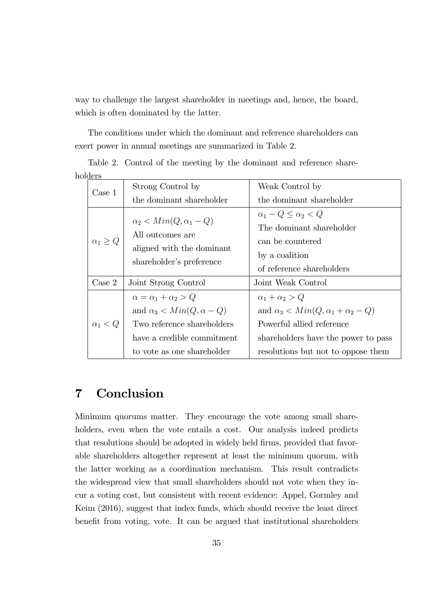way to challenge the largest shareholder in meetings and, hence, the board, which is often dominated by the latter.

The conditions under which the dominant and reference shareholders can exert power in annual meetings are summarized in Table 2.

| Case 1            | Strong Control by                                                                                                                                                   | Weak Control by                                                                                                                                                                         |
|-------------------|---------------------------------------------------------------------------------------------------------------------------------------------------------------------|-----------------------------------------------------------------------------------------------------------------------------------------------------------------------------------------|
|                   | the dominant shareholder                                                                                                                                            | the dominant shareholder                                                                                                                                                                |
| $\alpha_1 \geq Q$ | $\alpha_2 < Min(Q, \alpha_1 - Q)$<br>All outcomes are<br>aligned with the dominant<br>shareholder's preference                                                      | $\alpha_1 - Q \leq \alpha_2 < Q$<br>The dominant shareholder<br>can be countered<br>by a coalition<br>of reference shareholders                                                         |
| $\text{Case} 2$   | Joint Strong Control                                                                                                                                                | Joint Weak Control                                                                                                                                                                      |
| $\alpha_1 < Q$    | $\alpha = \alpha_1 + \alpha_2 > Q$<br>and $\alpha_3 < Min(Q, \alpha - Q)$<br>Two reference shareholders<br>have a credible commitment<br>to vote as one shareholder | $\alpha_1 + \alpha_2 > Q$<br>and $\alpha_3 < Min(Q, \alpha_1 + \alpha_2 - Q)$<br>Powerful allied reference<br>shareholders have the power to pass<br>resolutions but not to oppose them |

Table 2. Control of the meeting by the dominant and reference shareholders

# 7 Conclusion

Minimum quorums matter. They encourage the vote among small shareholders, even when the vote entails a cost. Our analysis indeed predicts that resolutions should be adopted in widely held firms, provided that favorable shareholders altogether represent at least the minimum quorum, with the latter working as a coordination mechanism. This result contradicts the widespread view that small shareholders should not vote when they incur a voting cost, but consistent with recent evidence: Appel, Gormley and Keim (2016), suggest that index funds, which should receive the least direct benefit from voting, vote. It can be argued that institutional shareholders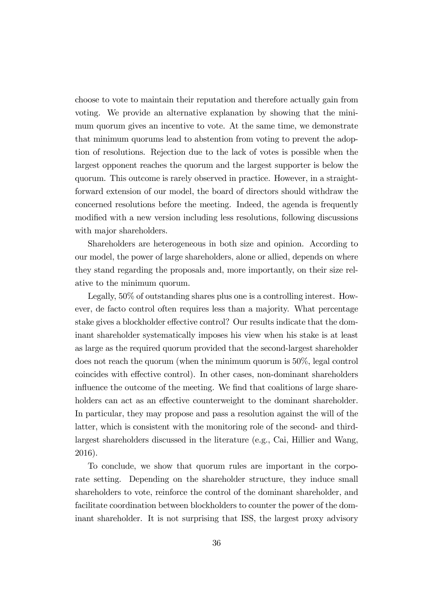choose to vote to maintain their reputation and therefore actually gain from voting. We provide an alternative explanation by showing that the minimum quorum gives an incentive to vote. At the same time, we demonstrate that minimum quorums lead to abstention from voting to prevent the adoption of resolutions. Rejection due to the lack of votes is possible when the largest opponent reaches the quorum and the largest supporter is below the quorum. This outcome is rarely observed in practice. However, in a straightforward extension of our model, the board of directors should withdraw the concerned resolutions before the meeting. Indeed, the agenda is frequently modified with a new version including less resolutions, following discussions with major shareholders.

Shareholders are heterogeneous in both size and opinion. According to our model, the power of large shareholders, alone or allied, depends on where they stand regarding the proposals and, more importantly, on their size relative to the minimum quorum.

Legally, 50% of outstanding shares plus one is a controlling interest. However, de facto control often requires less than a majority. What percentage stake gives a blockholder effective control? Our results indicate that the dominant shareholder systematically imposes his view when his stake is at least as large as the required quorum provided that the second-largest shareholder does not reach the quorum (when the minimum quorum is 50%, legal control coincides with effective control). In other cases, non-dominant shareholders influence the outcome of the meeting. We find that coalitions of large shareholders can act as an effective counterweight to the dominant shareholder. In particular, they may propose and pass a resolution against the will of the latter, which is consistent with the monitoring role of the second- and thirdlargest shareholders discussed in the literature (e.g., Cai, Hillier and Wang, 2016).

To conclude, we show that quorum rules are important in the corporate setting. Depending on the shareholder structure, they induce small shareholders to vote, reinforce the control of the dominant shareholder, and facilitate coordination between blockholders to counter the power of the dominant shareholder. It is not surprising that ISS, the largest proxy advisory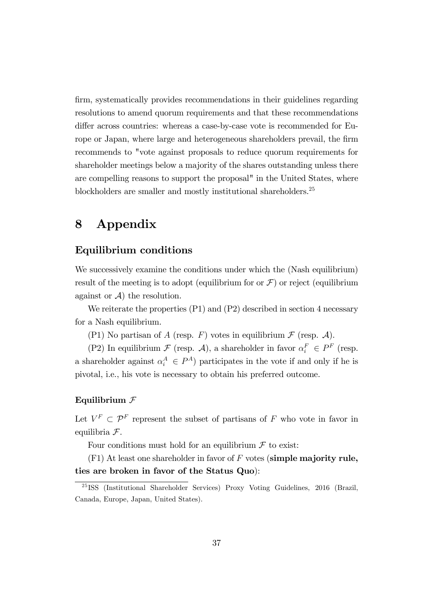firm, systematically provides recommendations in their guidelines regarding resolutions to amend quorum requirements and that these recommendations differ across countries: whereas a case-by-case vote is recommended for Europe or Japan, where large and heterogeneous shareholders prevail, the firm recommends to "vote against proposals to reduce quorum requirements for shareholder meetings below a majority of the shares outstanding unless there are compelling reasons to support the proposal" in the United States, where blockholders are smaller and mostly institutional shareholders.<sup>25</sup>

# 8 Appendix

## Equilibrium conditions

We successively examine the conditions under which the (Nash equilibrium) result of the meeting is to adopt (equilibrium for or  $\mathcal{F}$ ) or reject (equilibrium against or  $\mathcal{A}$  the resolution.

We reiterate the properties (P1) and (P2) described in section 4 necessary for a Nash equilibrium.

(P1) No partisan of A (resp. F) votes in equilibrium  $\mathcal F$  (resp.  $\mathcal A$ ).

(P2) In equilibrium  $\mathcal F$  (resp.  $\mathcal A$ ), a shareholder in favor  $\alpha_i^F \in P^F$  (resp. a shareholder against  $\alpha_i^A \in P^A$ ) participates in the vote if and only if he is pivotal, i.e., his vote is necessary to obtain his preferred outcome.

#### Equilibrium  $\mathcal F$

Let  $V^F \subset \mathcal{P}^F$  represent the subset of partisans of F who vote in favor in equilibria  $\mathcal{F}.$ 

Four conditions must hold for an equilibrium  $\mathcal F$  to exist:

 $(F1)$  At least one shareholder in favor of F votes (simple majority rule, ties are broken in favor of the Status Quo):

<sup>25</sup> ISS (Institutional Shareholder Services) Proxy Voting Guidelines, 2016 (Brazil, Canada, Europe, Japan, United States).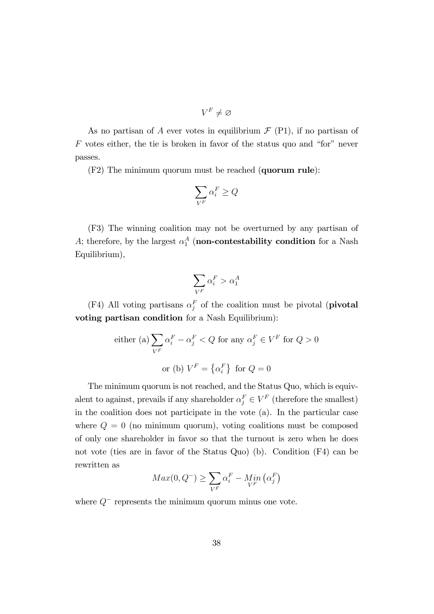$$
V^F\neq\varnothing
$$

As no partisan of A ever votes in equilibrium  $\mathcal{F}$  (P1), if no partisan of  $F$  votes either, the tie is broken in favor of the status quo and "for" never passes.

(F2) The minimum quorum must be reached (quorum rule):

$$
\sum_{V^F} \alpha^F_i \geq Q
$$

(F3) The winning coalition may not be overturned by any partisan of A; therefore, by the largest  $\alpha_1^A$  (non-contestability condition for a Nash Equilibrium),

$$
\sum_{V^F} \alpha^F_i > \alpha^A_1
$$

(F4) All voting partisans  $\alpha_j^F$  of the coalition must be pivotal (**pivotal** voting partisan condition for a Nash Equilibrium):

either (a) 
$$
\sum_{V^F} \alpha_i^F - \alpha_j^F < Q
$$
 for any  $\alpha_j^F \in V^F$  for  $Q > 0$   
or (b)  $V^F = \{\alpha_i^F\}$  for  $Q = 0$ 

The minimum quorum is not reached, and the Status Quo, which is equivalent to against, prevails if any shareholder  $\alpha_j^F \in V^F$  (therefore the smallest) in the coalition does not participate in the vote (a). In the particular case where  $Q = 0$  (no minimum quorum), voting coalitions must be composed of only one shareholder in favor so that the turnout is zero when he does not vote (ties are in favor of the Status Quo) (b). Condition (F4) can be rewritten as

$$
Max(0, Q^{-}) \ge \sum_{V^{F}} \alpha_i^{F} - Min\left(\alpha_j^{F}\right)
$$

where  $Q^-$  represents the minimum quorum minus one vote.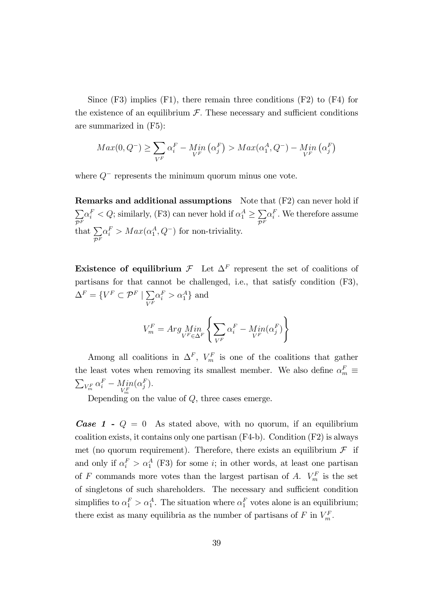Since  $(F3)$  implies  $(F1)$ , there remain three conditions  $(F2)$  to  $(F4)$  for the existence of an equilibrium  $\mathcal F$ . These necessary and sufficient conditions are summarized in (F5):

$$
Max(0, Q^{-}) \ge \sum_{V^{F}} \alpha_i^{F} - Min\left(\alpha_j^{F}\right) > Max(\alpha_1^{A}, Q^{-}) - Min\left(\alpha_j^{F}\right)
$$

where  $Q^-$  represents the minimum quorum minus one vote.

Remarks and additional assumptions Note that (F2) can never hold if  $\sum$  $\mathcal{P}^{F}_{-}$  $\alpha_i^F < Q$ ; similarly, (F3) can never hold if  $\alpha_1^A \ge \sum_{n=1}$  $\mathcal{P}^F$  $\alpha_i^F$ . We therefore assume that  $\sum$  $\mathcal{P}^F$  $\alpha_i^F > Max(\alpha_1^A, Q^-)$  for non-triviality.

**Existence of equilibrium**  $\mathcal{F}$  Let  $\Delta^F$  represent the set of coalitions of partisans for that cannot be challenged, i.e., that satisfy condition (F3),  $\Delta^F = \{V^F \subset \mathcal{P}^F \mid \sum_{\tau \in F}$  $V^F$  $\alpha_i^F > \alpha_1^A$  and

$$
V_m^F = Arg \, Min \left\{ \sum_{V^F \in \Delta^F} \left\{ \sum_{V^F} \alpha_i^F - Min(\alpha_j^F) \right\} \right\}
$$

Among all coalitions in  $\Delta^F$ ,  $V_m^F$  is one of the coalitions that gather the least votes when removing its smallest member. We also define  $\alpha_m^F \equiv$  $\sum_{V_m^F} \alpha_i^F - Min_{V_m^F}$  $(\alpha_j^F)$ .

Depending on the value of  $Q$ , three cases emerge.

**Case 1 -**  $Q = 0$  As stated above, with no quorum, if an equilibrium coalition exists, it contains only one partisan (F4-b). Condition (F2) is always met (no quorum requirement). Therefore, there exists an equilibrium  $\mathcal F$  if and only if  $\alpha_i^F > \alpha_1^A$  (F3) for some *i*; in other words, at least one partisan of F commands more votes than the largest partisan of A.  $V_m^F$  is the set of singletons of such shareholders. The necessary and sufficient condition simplifies to  $\alpha_1^F > \alpha_1^A$ . The situation where  $\alpha_1^F$  votes alone is an equilibrium; there exist as many equilibria as the number of partisans of  $F$  in  $V_m^F$ .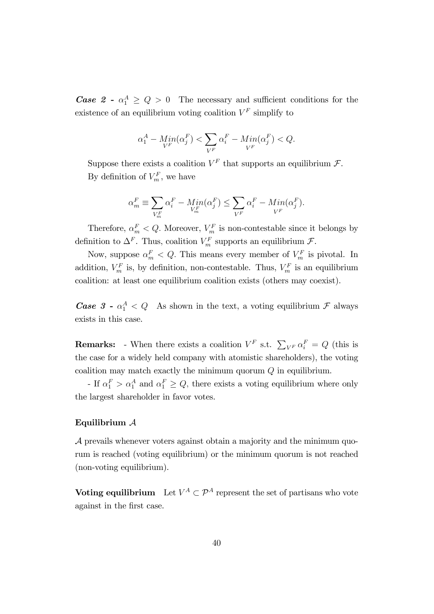**Case 2** -  $\alpha_1^A \geq Q > 0$  The necessary and sufficient conditions for the existence of an equilibrium voting coalition  $V^F$  simplify to

$$
\alpha_1^A - \underset{V^F}{\operatorname{Min}}(\alpha_j^F) < \sum_{V^F} \alpha_i^F - \underset{V^F}{\operatorname{Min}}(\alpha_j^F) < Q.
$$

Suppose there exists a coalition  $V^F$  that supports an equilibrium  $\mathcal{F}$ . By definition of  $V_m^F$ , we have

$$
\alpha_m^F \equiv \sum_{V_m^F} \alpha_i^F - \underset{V_m^F}{Min}(\alpha_j^F) \le \sum_{V^F} \alpha_i^F - \underset{V^F}{Min}(\alpha_j^F).
$$

Therefore,  $\alpha_m^F < Q$ . Moreover,  $V_m^F$  is non-contestable since it belongs by definition to  $\Delta^F$ . Thus, coalition  $V_m^F$  supports an equilibrium  $\mathcal{F}$ .

Now, suppose  $\alpha_m^F < Q$ . This means every member of  $V_m^F$  is pivotal. In addition,  $V_m^F$  is, by definition, non-contestable. Thus,  $V_m^F$  is an equilibrium coalition: at least one equilibrium coalition exists (others may coexist).

**Case 3** -  $\alpha_1^A < Q$  As shown in the text, a voting equilibrium  $\mathcal{F}$  always exists in this case.

**Remarks:** - When there exists a coalition  $V^F$  s.t.  $\sum_{V^F} \alpha_i^F = Q$  (this is the case for a widely held company with atomistic shareholders), the voting coalition may match exactly the minimum quorum  $Q$  in equilibrium.

- If  $\alpha_1^F > \alpha_1^A$  and  $\alpha_1^F \ge Q$ , there exists a voting equilibrium where only the largest shareholder in favor votes.

#### Equilibrium A

 $\mathcal A$  prevails whenever voters against obtain a majority and the minimum quorum is reached (voting equilibrium) or the minimum quorum is not reached (non-voting equilibrium).

**Voting equilibrium** Let  $V^A \subset \mathcal{P}^A$  represent the set of partisans who vote against in the Örst case.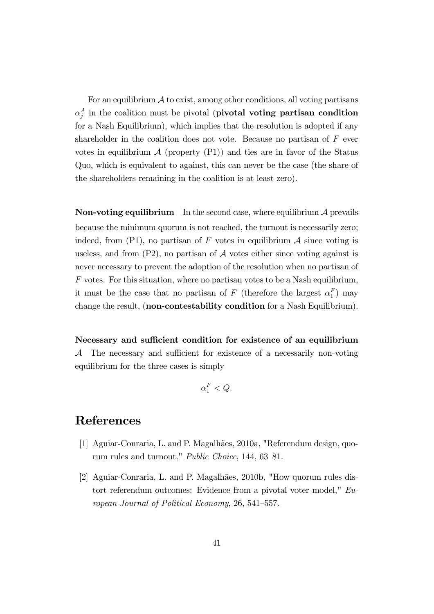For an equilibrium  $\mathcal A$  to exist, among other conditions, all voting partisans  $\alpha_j^A$  in the coalition must be pivotal (pivotal voting partisan condition for a Nash Equilibrium), which implies that the resolution is adopted if any shareholder in the coalition does not vote. Because no partisan of  $F$  ever votes in equilibrium  $\mathcal A$  (property (P1)) and ties are in favor of the Status Quo, which is equivalent to against, this can never be the case (the share of the shareholders remaining in the coalition is at least zero).

**Non-voting equilibrium** In the second case, where equilibrium  $\mathcal A$  prevails because the minimum quorum is not reached, the turnout is necessarily zero; indeed, from  $(P1)$ , no partisan of F votes in equilibrium A since voting is useless, and from  $(P2)$ , no partisan of  $A$  votes either since voting against is never necessary to prevent the adoption of the resolution when no partisan of F votes. For this situation, where no partisan votes to be a Nash equilibrium, it must be the case that no partisan of F (therefore the largest  $\alpha_1^F$ ) may change the result, (non-contestability condition for a Nash Equilibrium).

Necessary and sufficient condition for existence of an equilibrium  $\mathcal A$  The necessary and sufficient for existence of a necessarily non-voting equilibrium for the three cases is simply

$$
\alpha_1^F < Q.
$$

# References

- [1] Aguiar-Conraria, L. and P. Magalhães, 2010a, "Referendum design, quorum rules and turnout," *Public Choice*, 144, 63-81.
- [2] Aguiar-Conraria, L. and P. Magalhães, 2010b, "How quorum rules distort referendum outcomes: Evidence from a pivotal voter model," European Journal of Political Economy,  $26, 541-557$ .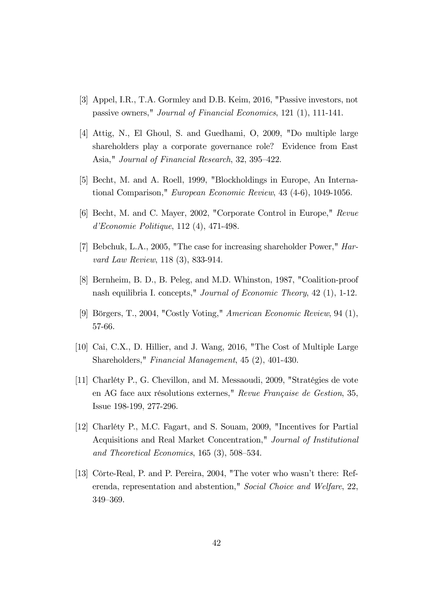- [3] Appel, I.R., T.A. Gormley and D.B. Keim, 2016, "Passive investors, not passive owners," Journal of Financial Economics, 121 (1), 111-141.
- [4] Attig, N., El Ghoul, S. and Guedhami, O, 2009, "Do multiple large shareholders play a corporate governance role? Evidence from East Asia," Journal of Financial Research, 32, 395–422.
- [5] Becht, M. and A. Roell, 1999, "Blockholdings in Europe, An International Comparison," European Economic Review, 43 (4-6), 1049-1056.
- [6] Becht, M. and C. Mayer, 2002, "Corporate Control in Europe," Revue d'Economie Politique, 112 (4), 471-498.
- [7] Bebchuk, L.A., 2005, "The case for increasing shareholder Power," Harvard Law Review, 118 (3), 833-914.
- [8] Bernheim, B. D., B. Peleg, and M.D. Whinston, 1987, "Coalition-proof nash equilibria I. concepts," Journal of Economic Theory, 42 (1), 1-12.
- [9] Börgers, T., 2004, "Costly Voting," American Economic Review, 94 (1), 57-66.
- [10] Cai, C.X., D. Hillier, and J. Wang, 2016, "The Cost of Multiple Large Shareholders," Financial Management, 45 (2), 401-430.
- [11] Charléty P., G. Chevillon, and M. Messaoudi, 2009, "Stratégies de vote en AG face aux résolutions externes," Revue Française de Gestion, 35, Issue 198-199, 277-296.
- [12] Charléty P., M.C. Fagart, and S. Souam, 2009, "Incentives for Partial Acquisitions and Real Market Concentration," Journal of Institutional and Theoretical Economics,  $165(3)$ ,  $508-534$ .
- [13] Côrte-Real, P. and P. Pereira, 2004, "The voter who wasn't there: Referenda, representation and abstention," Social Choice and Welfare, 22, 349-369.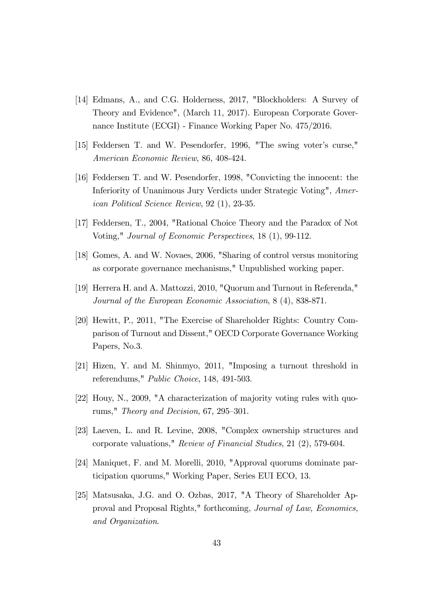- [14] Edmans, A., and C.G. Holderness, 2017, "Blockholders: A Survey of Theory and Evidence", (March 11, 2017). European Corporate Governance Institute (ECGI) - Finance Working Paper No. 475/2016.
- [15] Feddersen T. and W. Pesendorfer, 1996, "The swing voterís curse," American Economic Review, 86, 408-424.
- [16] Feddersen T. and W. Pesendorfer, 1998, "Convicting the innocent: the Inferiority of Unanimous Jury Verdicts under Strategic Voting", American Political Science Review, 92 (1), 23-35.
- [17] Feddersen, T., 2004, "Rational Choice Theory and the Paradox of Not Voting," Journal of Economic Perspectives, 18 (1), 99-112.
- [18] Gomes, A. and W. Novaes, 2006, "Sharing of control versus monitoring as corporate governance mechanisms," Unpublished working paper.
- [19] Herrera H. and A. Mattozzi, 2010, "Quorum and Turnout in Referenda," Journal of the European Economic Association, 8 (4), 838-871.
- [20] Hewitt, P., 2011, "The Exercise of Shareholder Rights: Country Comparison of Turnout and Dissent," OECD Corporate Governance Working Papers, No.3.
- [21] Hizen, Y. and M. Shinmyo, 2011, "Imposing a turnout threshold in referendums," Public Choice, 148, 491-503.
- [22] Houy, N., 2009, "A characterization of majority voting rules with quorums," Theory and Decision,  $67, 295-301$ .
- [23] Laeven, L. and R. Levine, 2008, "Complex ownership structures and corporate valuations," Review of Financial Studies, 21 (2), 579-604.
- [24] Maniquet, F. and M. Morelli, 2010, "Approval quorums dominate participation quorums," Working Paper, Series EUI ECO, 13.
- [25] Matsusaka, J.G. and O. Ozbas, 2017, "A Theory of Shareholder Approval and Proposal Rights," forthcoming, Journal of Law, Economics, and Organization.